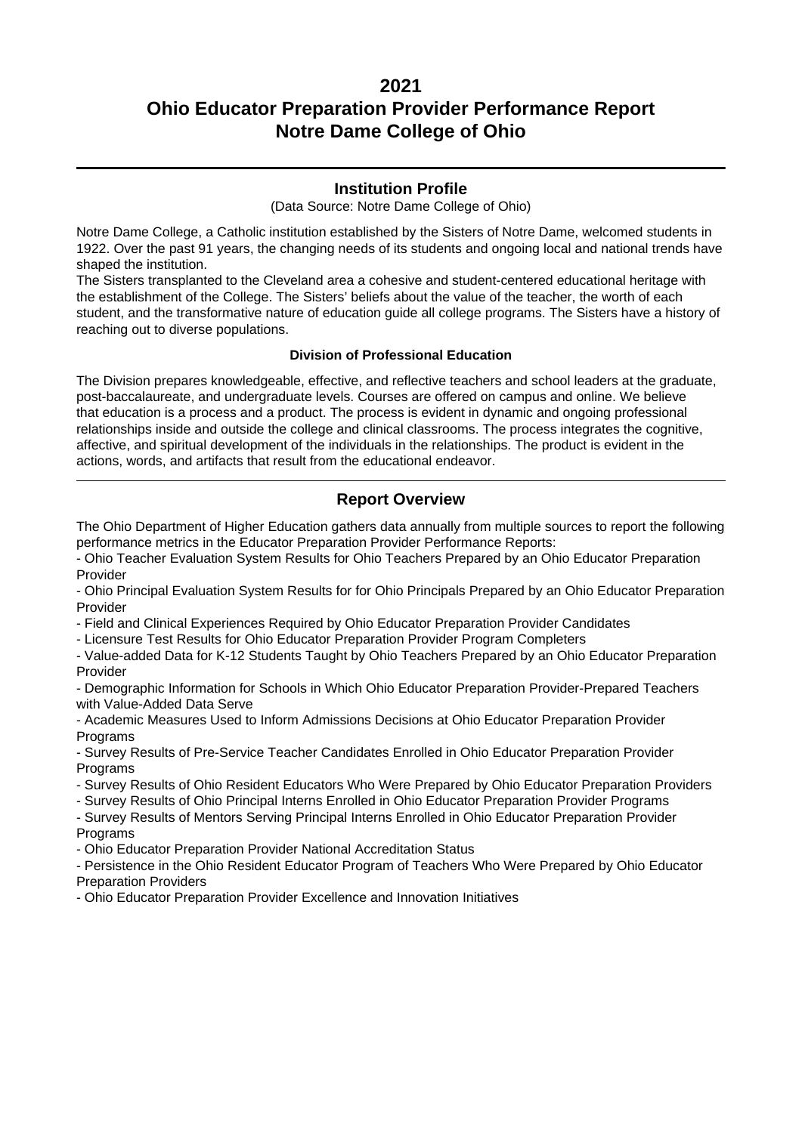## **2021**

# **Ohio Educator Preparation Provider Performance Report Notre Dame College of Ohio**

## **Institution Profile**

(Data Source: Notre Dame College of Ohio)

Notre Dame College, a Catholic institution established by the Sisters of Notre Dame, welcomed students in 1922. Over the past 91 years, the changing needs of its students and ongoing local and national trends have shaped the institution.

The Sisters transplanted to the Cleveland area a cohesive and student-centered educational heritage with the establishment of the College. The Sisters' beliefs about the value of the teacher, the worth of each student, and the transformative nature of education guide all college programs. The Sisters have a history of reaching out to diverse populations.

#### **Division of Professional Education**

The Division prepares knowledgeable, effective, and reflective teachers and school leaders at the graduate, post-baccalaureate, and undergraduate levels. Courses are offered on campus and online. We believe that education is a process and a product. The process is evident in dynamic and ongoing professional relationships inside and outside the college and clinical classrooms. The process integrates the cognitive, affective, and spiritual development of the individuals in the relationships. The product is evident in the actions, words, and artifacts that result from the educational endeavor.

## **Report Overview**

The Ohio Department of Higher Education gathers data annually from multiple sources to report the following performance metrics in the Educator Preparation Provider Performance Reports:

- Ohio Teacher Evaluation System Results for Ohio Teachers Prepared by an Ohio Educator Preparation Provider

- Ohio Principal Evaluation System Results for for Ohio Principals Prepared by an Ohio Educator Preparation Provider

- Field and Clinical Experiences Required by Ohio Educator Preparation Provider Candidates

- Licensure Test Results for Ohio Educator Preparation Provider Program Completers

- Value-added Data for K-12 Students Taught by Ohio Teachers Prepared by an Ohio Educator Preparation Provider

- Demographic Information for Schools in Which Ohio Educator Preparation Provider-Prepared Teachers with Value-Added Data Serve

- Academic Measures Used to Inform Admissions Decisions at Ohio Educator Preparation Provider **Programs** 

- Survey Results of Pre-Service Teacher Candidates Enrolled in Ohio Educator Preparation Provider Programs

- Survey Results of Ohio Resident Educators Who Were Prepared by Ohio Educator Preparation Providers

- Survey Results of Ohio Principal Interns Enrolled in Ohio Educator Preparation Provider Programs

- Survey Results of Mentors Serving Principal Interns Enrolled in Ohio Educator Preparation Provider **Programs** 

- Ohio Educator Preparation Provider National Accreditation Status

- Persistence in the Ohio Resident Educator Program of Teachers Who Were Prepared by Ohio Educator Preparation Providers

- Ohio Educator Preparation Provider Excellence and Innovation Initiatives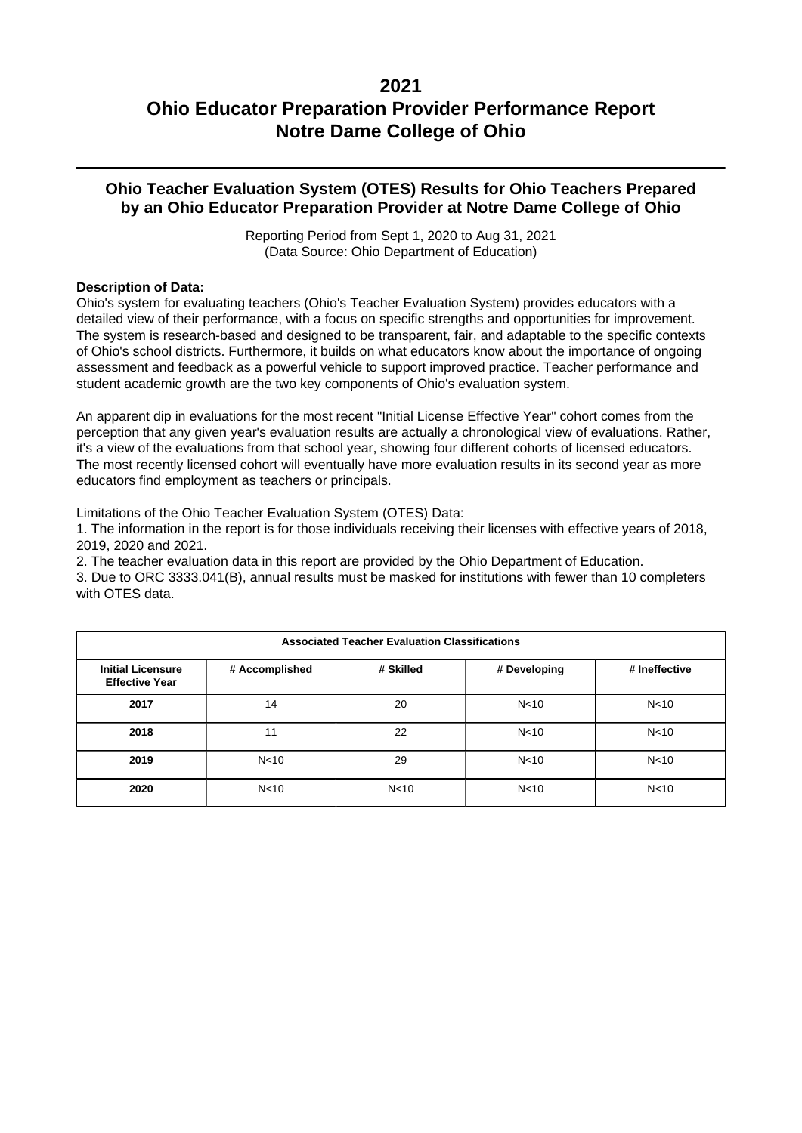## **Ohio Teacher Evaluation System (OTES) Results for Ohio Teachers Prepared by an Ohio Educator Preparation Provider at Notre Dame College of Ohio**

Reporting Period from Sept 1, 2020 to Aug 31, 2021 (Data Source: Ohio Department of Education)

#### **Description of Data:**

Ohio's system for evaluating teachers (Ohio's Teacher Evaluation System) provides educators with a detailed view of their performance, with a focus on specific strengths and opportunities for improvement. The system is research-based and designed to be transparent, fair, and adaptable to the specific contexts of Ohio's school districts. Furthermore, it builds on what educators know about the importance of ongoing assessment and feedback as a powerful vehicle to support improved practice. Teacher performance and student academic growth are the two key components of Ohio's evaluation system.

An apparent dip in evaluations for the most recent "Initial License Effective Year" cohort comes from the perception that any given year's evaluation results are actually a chronological view of evaluations. Rather, it's a view of the evaluations from that school year, showing four different cohorts of licensed educators. The most recently licensed cohort will eventually have more evaluation results in its second year as more educators find employment as teachers or principals.

Limitations of the Ohio Teacher Evaluation System (OTES) Data:

1. The information in the report is for those individuals receiving their licenses with effective years of 2018, 2019, 2020 and 2021.

2. The teacher evaluation data in this report are provided by the Ohio Department of Education.

3. Due to ORC 3333.041(B), annual results must be masked for institutions with fewer than 10 completers with OTES data.

| <b>Associated Teacher Evaluation Classifications</b> |                 |                 |                 |                 |  |  |
|------------------------------------------------------|-----------------|-----------------|-----------------|-----------------|--|--|
| <b>Initial Licensure</b><br><b>Effective Year</b>    | # Accomplished  | # Skilled       | # Developing    | # Ineffective   |  |  |
| 2017                                                 | 14              | 20              | N <sub>10</sub> | N <sub>10</sub> |  |  |
| 2018                                                 | 11              | 22              | N <sub>10</sub> | N <sub>10</sub> |  |  |
| 2019                                                 | N <sub>10</sub> | 29              | N <sub>10</sub> | N <sub>10</sub> |  |  |
| 2020                                                 | N <sub>10</sub> | N <sub>10</sub> | N <sub>10</sub> | N <sub>10</sub> |  |  |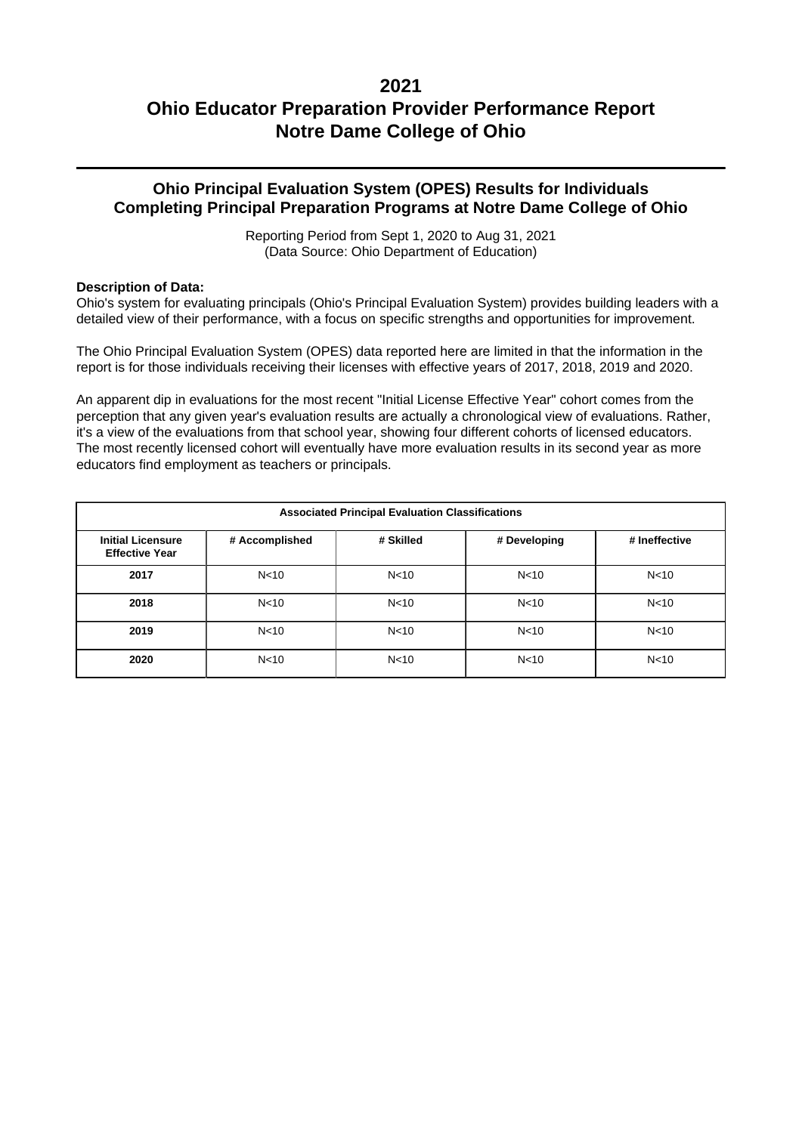## **Ohio Principal Evaluation System (OPES) Results for Individuals Completing Principal Preparation Programs at Notre Dame College of Ohio**

Reporting Period from Sept 1, 2020 to Aug 31, 2021 (Data Source: Ohio Department of Education)

#### **Description of Data:**

Ohio's system for evaluating principals (Ohio's Principal Evaluation System) provides building leaders with a detailed view of their performance, with a focus on specific strengths and opportunities for improvement.

The Ohio Principal Evaluation System (OPES) data reported here are limited in that the information in the report is for those individuals receiving their licenses with effective years of 2017, 2018, 2019 and 2020.

An apparent dip in evaluations for the most recent "Initial License Effective Year" cohort comes from the perception that any given year's evaluation results are actually a chronological view of evaluations. Rather, it's a view of the evaluations from that school year, showing four different cohorts of licensed educators. The most recently licensed cohort will eventually have more evaluation results in its second year as more educators find employment as teachers or principals.

| <b>Associated Principal Evaluation Classifications</b> |                 |                 |                 |                 |  |  |  |
|--------------------------------------------------------|-----------------|-----------------|-----------------|-----------------|--|--|--|
| <b>Initial Licensure</b><br><b>Effective Year</b>      | # Accomplished  | # Skilled       | # Developing    | # Ineffective   |  |  |  |
| 2017                                                   | N <sub>10</sub> | N <sub>10</sub> | N <sub>10</sub> | N <sub>10</sub> |  |  |  |
| 2018                                                   | N <sub>10</sub> | N <sub>10</sub> | N <sub>10</sub> | N <sub>10</sub> |  |  |  |
| 2019                                                   | N <sub>10</sub> | N <sub>10</sub> | N <sub>10</sub> | N <sub>10</sub> |  |  |  |
| 2020                                                   | N <sub>10</sub> | N <sub>10</sub> | N <sub>10</sub> | N <sub>10</sub> |  |  |  |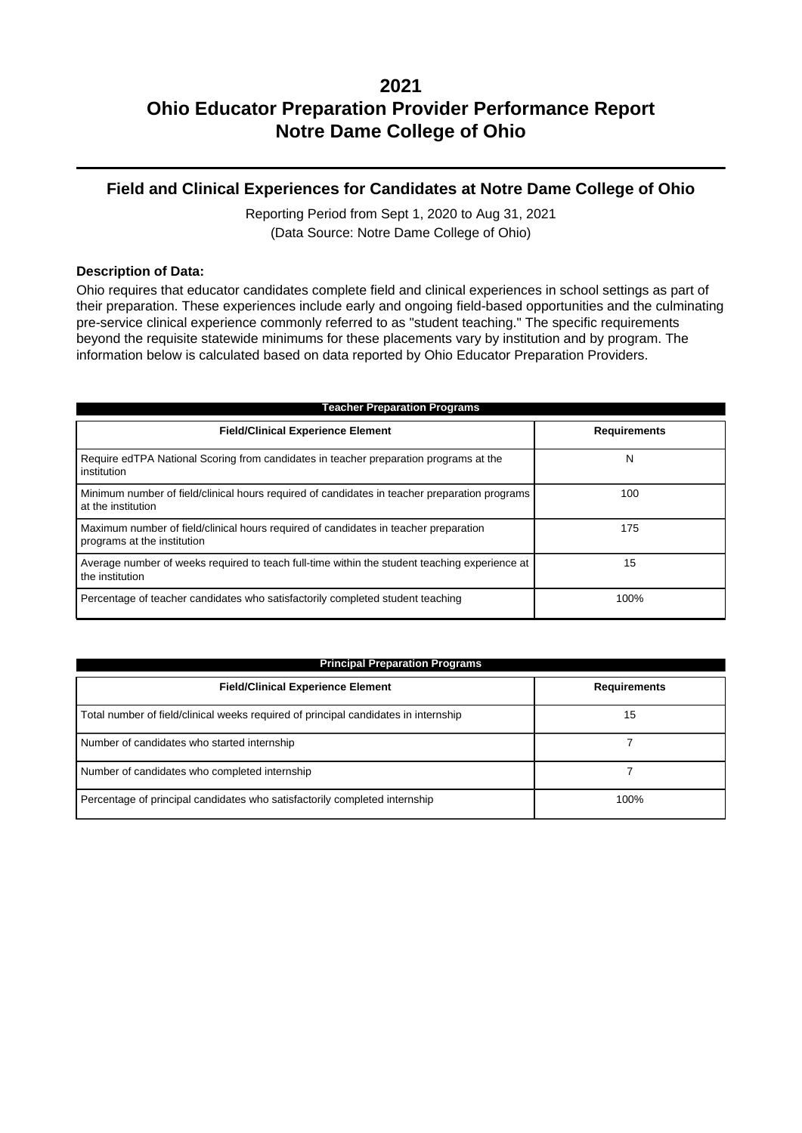### **Field and Clinical Experiences for Candidates at Notre Dame College of Ohio**

Reporting Period from Sept 1, 2020 to Aug 31, 2021 (Data Source: Notre Dame College of Ohio)

#### **Description of Data:**

Ohio requires that educator candidates complete field and clinical experiences in school settings as part of their preparation. These experiences include early and ongoing field-based opportunities and the culminating pre-service clinical experience commonly referred to as "student teaching." The specific requirements beyond the requisite statewide minimums for these placements vary by institution and by program. The information below is calculated based on data reported by Ohio Educator Preparation Providers.

| <b>Teacher Preparation Programs</b>                                                                                 |                     |  |  |  |  |
|---------------------------------------------------------------------------------------------------------------------|---------------------|--|--|--|--|
| <b>Field/Clinical Experience Element</b>                                                                            | <b>Requirements</b> |  |  |  |  |
| Require edTPA National Scoring from candidates in teacher preparation programs at the<br>institution                | N                   |  |  |  |  |
| Minimum number of field/clinical hours required of candidates in teacher preparation programs<br>at the institution | 100                 |  |  |  |  |
| Maximum number of field/clinical hours required of candidates in teacher preparation<br>programs at the institution | 175                 |  |  |  |  |
| Average number of weeks required to teach full-time within the student teaching experience at<br>the institution    | 15                  |  |  |  |  |
| Percentage of teacher candidates who satisfactorily completed student teaching                                      | 100%                |  |  |  |  |

| <b>Principal Preparation Programs</b>                                               |                     |  |  |  |  |
|-------------------------------------------------------------------------------------|---------------------|--|--|--|--|
| <b>Field/Clinical Experience Element</b>                                            | <b>Requirements</b> |  |  |  |  |
| Total number of field/clinical weeks required of principal candidates in internship | 15                  |  |  |  |  |
| Number of candidates who started internship                                         |                     |  |  |  |  |
| Number of candidates who completed internship                                       |                     |  |  |  |  |
| Percentage of principal candidates who satisfactorily completed internship          | 100%                |  |  |  |  |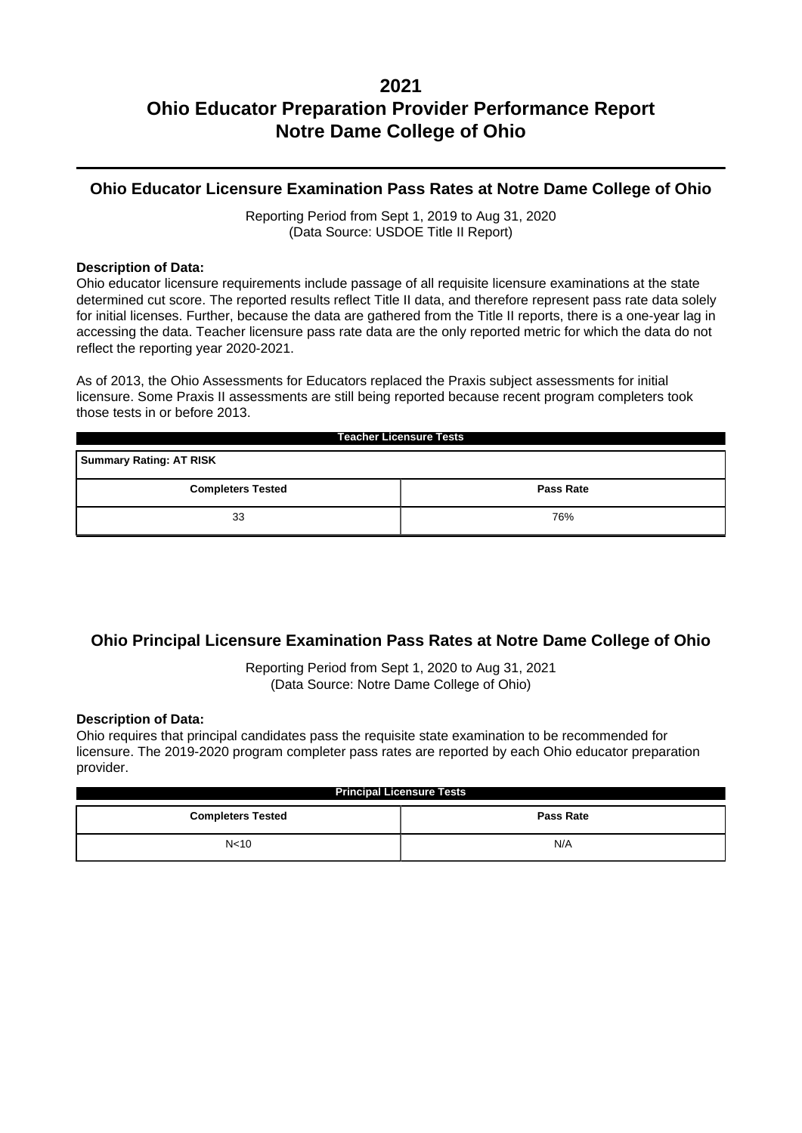## **Ohio Educator Licensure Examination Pass Rates at Notre Dame College of Ohio**

Reporting Period from Sept 1, 2019 to Aug 31, 2020 (Data Source: USDOE Title II Report)

#### **Description of Data:**

Ohio educator licensure requirements include passage of all requisite licensure examinations at the state determined cut score. The reported results reflect Title II data, and therefore represent pass rate data solely for initial licenses. Further, because the data are gathered from the Title II reports, there is a one-year lag in accessing the data. Teacher licensure pass rate data are the only reported metric for which the data do not reflect the reporting year 2020-2021.

As of 2013, the Ohio Assessments for Educators replaced the Praxis subject assessments for initial licensure. Some Praxis II assessments are still being reported because recent program completers took those tests in or before 2013.

| <b>Teacher Licensure Tests</b>               |  |  |  |  |  |
|----------------------------------------------|--|--|--|--|--|
| <b>Summary Rating: AT RISK</b>               |  |  |  |  |  |
| <b>Completers Tested</b><br><b>Pass Rate</b> |  |  |  |  |  |
| 33<br>76%                                    |  |  |  |  |  |

## **Ohio Principal Licensure Examination Pass Rates at Notre Dame College of Ohio**

Reporting Period from Sept 1, 2020 to Aug 31, 2021 (Data Source: Notre Dame College of Ohio)

#### **Description of Data:**

Ohio requires that principal candidates pass the requisite state examination to be recommended for licensure. The 2019-2020 program completer pass rates are reported by each Ohio educator preparation provider.

| <b>Principal Licensure Tests</b>             |     |  |  |  |
|----------------------------------------------|-----|--|--|--|
| <b>Pass Rate</b><br><b>Completers Tested</b> |     |  |  |  |
| N <sub>10</sub>                              | N/A |  |  |  |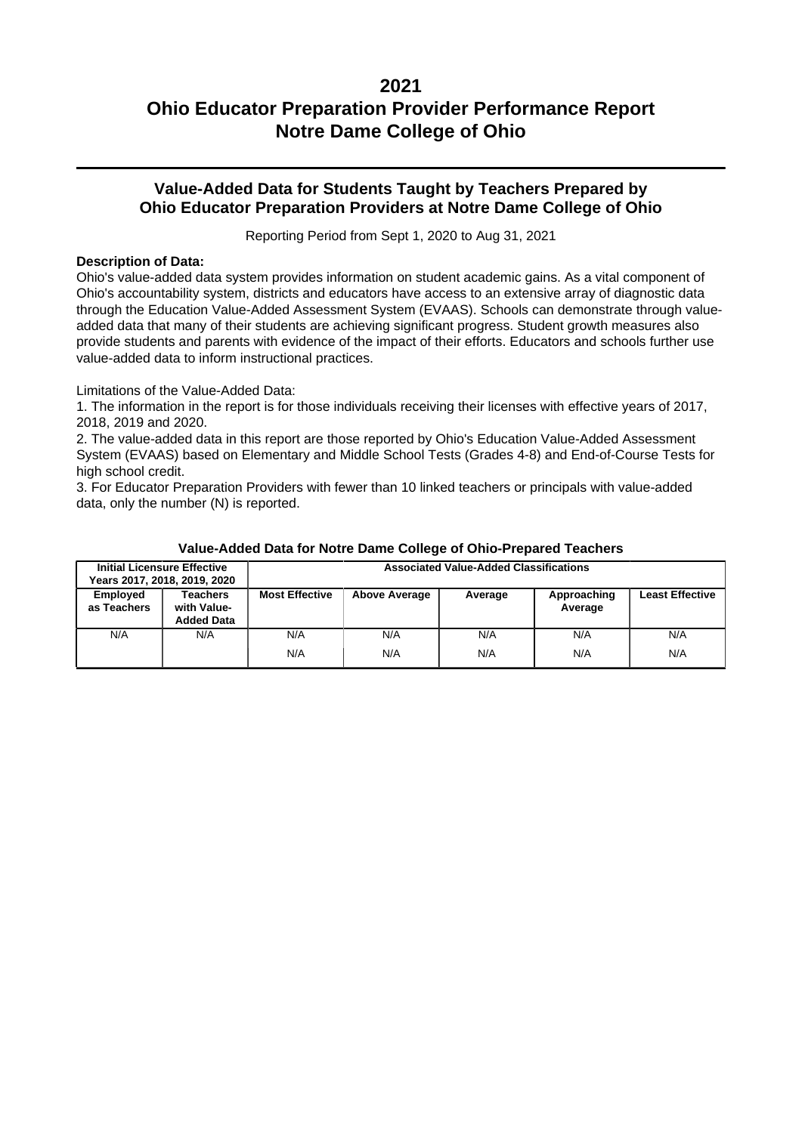## **Value-Added Data for Students Taught by Teachers Prepared by Ohio Educator Preparation Providers at Notre Dame College of Ohio**

Reporting Period from Sept 1, 2020 to Aug 31, 2021

#### **Description of Data:**

Ohio's value-added data system provides information on student academic gains. As a vital component of Ohio's accountability system, districts and educators have access to an extensive array of diagnostic data through the Education Value-Added Assessment System (EVAAS). Schools can demonstrate through valueadded data that many of their students are achieving significant progress. Student growth measures also provide students and parents with evidence of the impact of their efforts. Educators and schools further use value-added data to inform instructional practices.

Limitations of the Value-Added Data:

1. The information in the report is for those individuals receiving their licenses with effective years of 2017, 2018, 2019 and 2020.

2. The value-added data in this report are those reported by Ohio's Education Value-Added Assessment System (EVAAS) based on Elementary and Middle School Tests (Grades 4-8) and End-of-Course Tests for high school credit.

3. For Educator Preparation Providers with fewer than 10 linked teachers or principals with value-added data, only the number (N) is reported.

|                         | <b>Initial Licensure Effective</b><br>Years 2017, 2018, 2019, 2020 | <b>Associated Value-Added Classifications</b> |                      |            |                        |                        |
|-------------------------|--------------------------------------------------------------------|-----------------------------------------------|----------------------|------------|------------------------|------------------------|
| Employed<br>as Teachers | Teachers<br>with Value-<br><b>Added Data</b>                       | <b>Most Effective</b>                         | <b>Above Average</b> | Average    | Approaching<br>Average | <b>Least Effective</b> |
| N/A                     | N/A                                                                | N/A<br>N/A                                    | N/A<br>N/A           | N/A<br>N/A | N/A<br>N/A             | N/A<br>N/A             |

#### **Value-Added Data for Notre Dame College of Ohio-Prepared Teachers**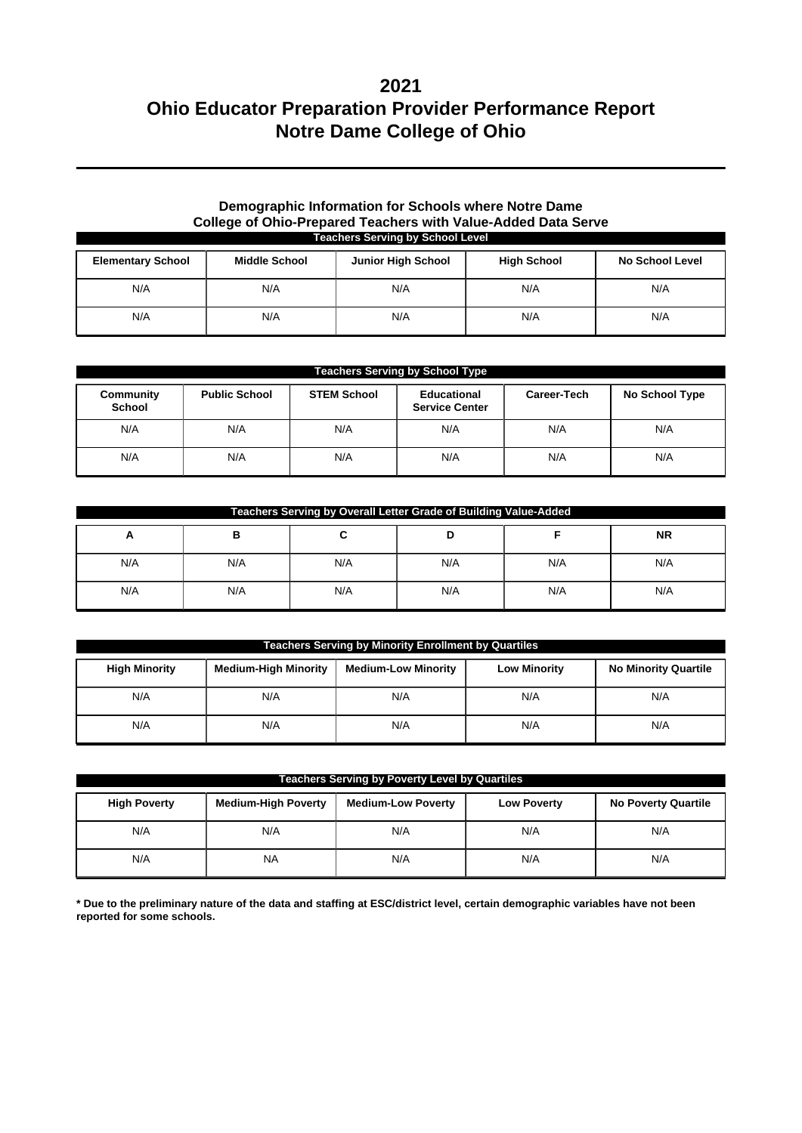#### **Demographic Information for Schools where Notre Dame College of Ohio-Prepared Teachers with Value-Added Data Serve Teachers Serving by School Level**

| <b>Elementary School</b> | <b>Middle School</b> | <b>Junior High School</b> | <b>High School</b> | <b>No School Level</b> |
|--------------------------|----------------------|---------------------------|--------------------|------------------------|
| N/A                      | N/A                  | N/A                       | N/A                | N/A                    |
| N/A                      | N/A                  | N/A                       | N/A                | N/A                    |

| <b>Teachers Serving by School Type</b> |                      |                    |                                      |             |                |  |
|----------------------------------------|----------------------|--------------------|--------------------------------------|-------------|----------------|--|
| Community<br><b>School</b>             | <b>Public School</b> | <b>STEM School</b> | Educational<br><b>Service Center</b> | Career-Tech | No School Type |  |
| N/A                                    | N/A                  | N/A                | N/A                                  | N/A         | N/A            |  |
| N/A                                    | N/A                  | N/A                | N/A                                  | N/A         | N/A            |  |

| Teachers Serving by Overall Letter Grade of Building Value-Added |     |     |     |     |           |  |
|------------------------------------------------------------------|-----|-----|-----|-----|-----------|--|
| A                                                                | в   |     |     |     | <b>NR</b> |  |
| N/A                                                              | N/A | N/A | N/A | N/A | N/A       |  |
| N/A                                                              | N/A | N/A | N/A | N/A | N/A       |  |

| <b>Teachers Serving by Minority Enrollment by Quartiles</b> |                             |                            |                     |                             |  |  |
|-------------------------------------------------------------|-----------------------------|----------------------------|---------------------|-----------------------------|--|--|
| <b>High Minority</b>                                        | <b>Medium-High Minority</b> | <b>Medium-Low Minority</b> | <b>Low Minority</b> | <b>No Minority Quartile</b> |  |  |
| N/A                                                         | N/A                         | N/A                        | N/A                 | N/A                         |  |  |
| N/A                                                         | N/A                         | N/A                        | N/A                 | N/A                         |  |  |

| <b>Teachers Serving by Poverty Level by Quartiles</b> |                            |                           |                    |                            |  |  |
|-------------------------------------------------------|----------------------------|---------------------------|--------------------|----------------------------|--|--|
| <b>High Poverty</b>                                   | <b>Medium-High Poverty</b> | <b>Medium-Low Poverty</b> | <b>Low Poverty</b> | <b>No Poverty Quartile</b> |  |  |
| N/A                                                   | N/A                        | N/A                       | N/A                | N/A                        |  |  |
| N/A                                                   | <b>NA</b>                  | N/A                       | N/A                | N/A                        |  |  |

**\* Due to the preliminary nature of the data and staffing at ESC/district level, certain demographic variables have not been reported for some schools.**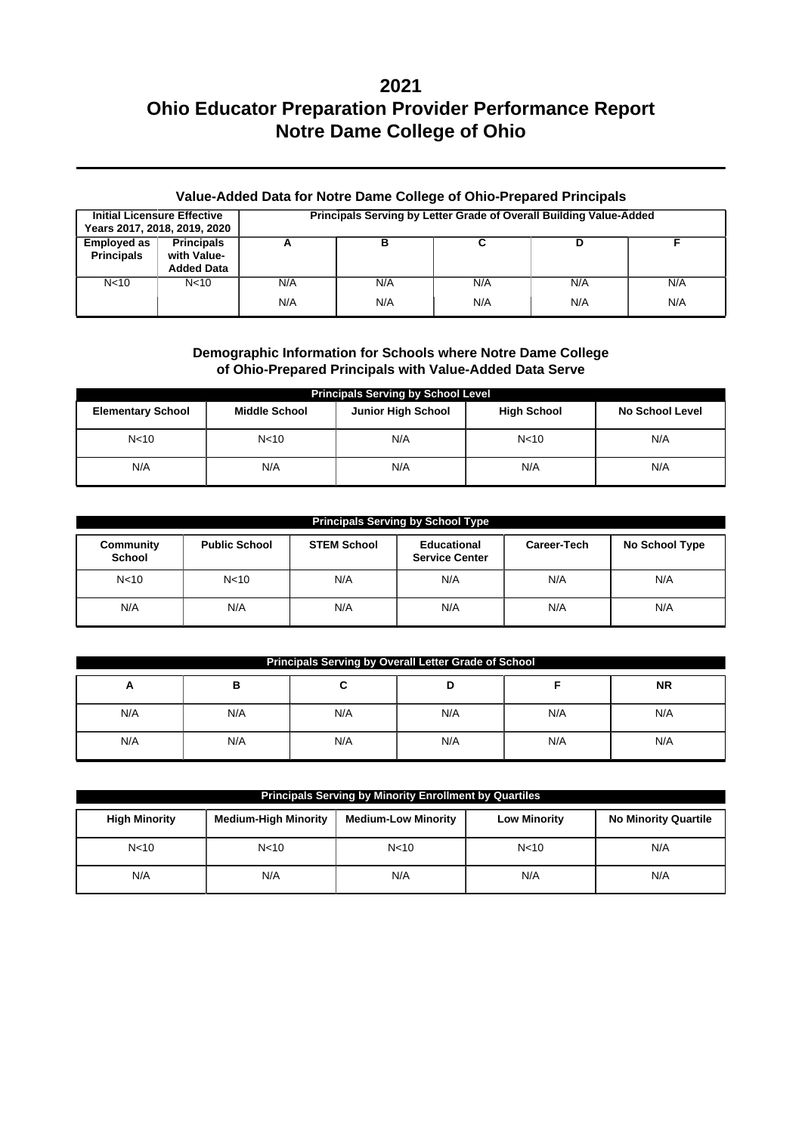### **Value-Added Data for Notre Dame College of Ohio-Prepared Principals**

|                                         | <b>Initial Licensure Effective</b><br>Years 2017, 2018, 2019, 2020 | Principals Serving by Letter Grade of Overall Building Value-Added |            |            |            |            |
|-----------------------------------------|--------------------------------------------------------------------|--------------------------------------------------------------------|------------|------------|------------|------------|
| <b>Employed as</b><br><b>Principals</b> | <b>Principals</b><br>with Value-<br><b>Added Data</b>              |                                                                    | в          |            |            |            |
| N <sub>10</sub>                         | N <sub>10</sub>                                                    | N/A<br>N/A                                                         | N/A<br>N/A | N/A<br>N/A | N/A<br>N/A | N/A<br>N/A |

#### **Demographic Information for Schools where Notre Dame College of Ohio-Prepared Principals with Value-Added Data Serve**

| <b>Principals Serving by School Level</b> |                      |                           |                    |                        |  |  |
|-------------------------------------------|----------------------|---------------------------|--------------------|------------------------|--|--|
| <b>Elementary School</b>                  | <b>Middle School</b> | <b>Junior High School</b> | <b>High School</b> | <b>No School Level</b> |  |  |
| N <sub>10</sub>                           | N <sub>10</sub>      | N/A                       | N <sub>10</sub>    | N/A                    |  |  |
| N/A                                       | N/A                  | N/A                       | N/A                | N/A                    |  |  |

| <b>Principals Serving by School Type</b> |                      |                    |                                      |             |                |  |  |
|------------------------------------------|----------------------|--------------------|--------------------------------------|-------------|----------------|--|--|
| Community<br><b>School</b>               | <b>Public School</b> | <b>STEM School</b> | Educational<br><b>Service Center</b> | Career-Tech | No School Type |  |  |
| N <sub>10</sub>                          | N <sub>10</sub>      | N/A                | N/A                                  | N/A         | N/A            |  |  |
| N/A                                      | N/A                  | N/A                | N/A                                  | N/A         | N/A            |  |  |

|     | Principals Serving by Overall Letter Grade of School |     |     |     |           |  |  |
|-----|------------------------------------------------------|-----|-----|-----|-----------|--|--|
| A   | в                                                    |     | D   |     | <b>NR</b> |  |  |
| N/A | N/A                                                  | N/A | N/A | N/A | N/A       |  |  |
| N/A | N/A                                                  | N/A | N/A | N/A | N/A       |  |  |

|                      | <b>Principals Serving by Minority Enrollment by Quartiles</b> |                            |                     |                             |  |  |  |
|----------------------|---------------------------------------------------------------|----------------------------|---------------------|-----------------------------|--|--|--|
| <b>High Minority</b> | <b>Medium-High Minority</b>                                   | <b>Medium-Low Minority</b> | <b>Low Minority</b> | <b>No Minority Quartile</b> |  |  |  |
| N <sub>10</sub>      | N <sub>10</sub>                                               | N <sub>10</sub>            | N <sub>10</sub>     | N/A                         |  |  |  |
| N/A                  | N/A                                                           | N/A                        | N/A                 | N/A                         |  |  |  |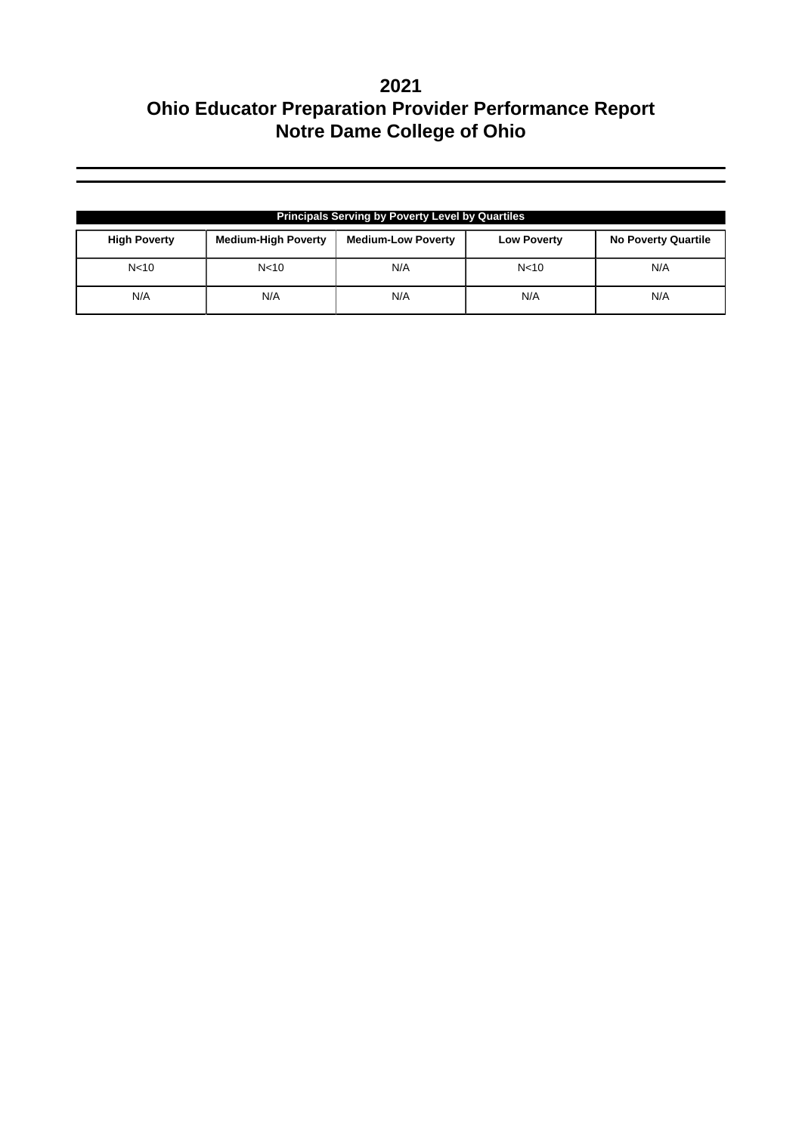| <b>Principals Serving by Poverty Level by Quartiles</b> |                            |                           |                    |                            |  |  |
|---------------------------------------------------------|----------------------------|---------------------------|--------------------|----------------------------|--|--|
| <b>High Poverty</b>                                     | <b>Medium-High Poverty</b> | <b>Medium-Low Poverty</b> | <b>Low Poverty</b> | <b>No Poverty Quartile</b> |  |  |
| N <sub>10</sub>                                         | N <sub>10</sub>            | N/A                       | N <sub>10</sub>    | N/A                        |  |  |
| N/A                                                     | N/A                        | N/A                       | N/A                | N/A                        |  |  |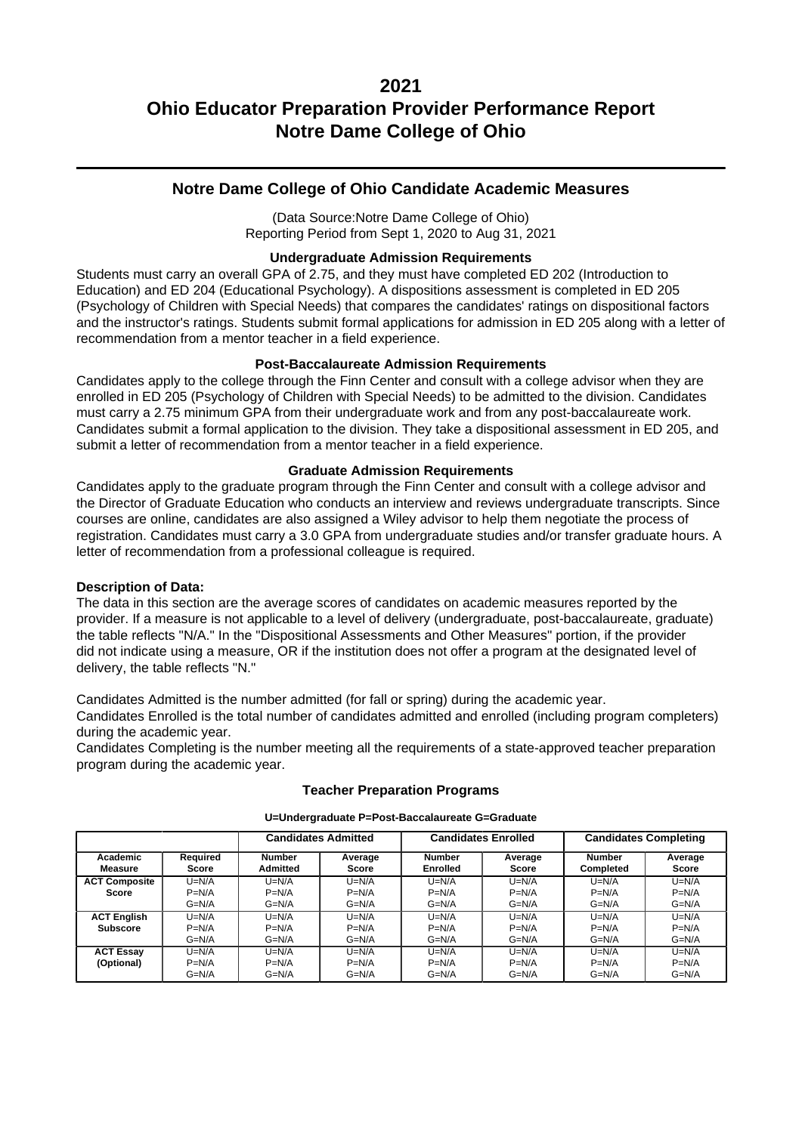### **Notre Dame College of Ohio Candidate Academic Measures**

(Data Source:Notre Dame College of Ohio) Reporting Period from Sept 1, 2020 to Aug 31, 2021

#### **Undergraduate Admission Requirements**

Students must carry an overall GPA of 2.75, and they must have completed ED 202 (Introduction to Education) and ED 204 (Educational Psychology). A dispositions assessment is completed in ED 205 (Psychology of Children with Special Needs) that compares the candidates' ratings on dispositional factors and the instructor's ratings. Students submit formal applications for admission in ED 205 along with a letter of recommendation from a mentor teacher in a field experience.

#### **Post-Baccalaureate Admission Requirements**

Candidates apply to the college through the Finn Center and consult with a college advisor when they are enrolled in ED 205 (Psychology of Children with Special Needs) to be admitted to the division. Candidates must carry a 2.75 minimum GPA from their undergraduate work and from any post-baccalaureate work. Candidates submit a formal application to the division. They take a dispositional assessment in ED 205, and submit a letter of recommendation from a mentor teacher in a field experience.

#### **Graduate Admission Requirements**

Candidates apply to the graduate program through the Finn Center and consult with a college advisor and the Director of Graduate Education who conducts an interview and reviews undergraduate transcripts. Since courses are online, candidates are also assigned a Wiley advisor to help them negotiate the process of registration. Candidates must carry a 3.0 GPA from undergraduate studies and/or transfer graduate hours. A letter of recommendation from a professional colleague is required.

#### **Description of Data:**

The data in this section are the average scores of candidates on academic measures reported by the provider. If a measure is not applicable to a level of delivery (undergraduate, post-baccalaureate, graduate) the table reflects "N/A." In the "Dispositional Assessments and Other Measures" portion, if the provider did not indicate using a measure, OR if the institution does not offer a program at the designated level of delivery, the table reflects "N."

Candidates Admitted is the number admitted (for fall or spring) during the academic year.

Candidates Enrolled is the total number of candidates admitted and enrolled (including program completers) during the academic year.

Candidates Completing is the number meeting all the requirements of a state-approved teacher preparation program during the academic year.

|                            |                          |                           | <b>Candidates Admitted</b> |                                  | <b>Candidates Enrolled</b> |                            | <b>Candidates Completing</b> |
|----------------------------|--------------------------|---------------------------|----------------------------|----------------------------------|----------------------------|----------------------------|------------------------------|
| Academic<br><b>Measure</b> | Required<br><b>Score</b> | <b>Number</b><br>Admitted | Average<br>Score           | <b>Number</b><br><b>Enrolled</b> | Average<br>Score           | <b>Number</b><br>Completed | Average<br>Score             |
| <b>ACT Composite</b>       | $U=N/A$                  | $U=N/A$                   | $U=N/A$                    | $U=N/A$                          | $U=N/A$                    | $U=N/A$                    | U=N/A                        |
| Score                      | $P=N/A$                  | $P=N/A$                   | $P=N/A$                    | $P=N/A$                          | $P=N/A$                    | $P=N/A$                    | $P=N/A$                      |
|                            | $G=N/A$                  | $G=N/A$                   | $G=N/A$                    | $G=N/A$                          | $G=N/A$                    | $G=N/A$                    | $G=N/A$                      |
| <b>ACT English</b>         | $U=N/A$                  | $U=N/A$                   | $U=N/A$                    | $U=N/A$                          | $U=N/A$                    | $U=N/A$                    | $U=N/A$                      |
| <b>Subscore</b>            | $P=N/A$                  | $P=N/A$                   | $P=N/A$                    | $P=N/A$                          | $P=N/A$                    | $P=N/A$                    | $P=N/A$                      |
|                            | $G=N/A$                  | $G=N/A$                   | $G=N/A$                    | $G=N/A$                          | $G=N/A$                    | $G=N/A$                    | $G=N/A$                      |
| <b>ACT Essay</b>           | $U=N/A$                  | $U=N/A$                   | $U=N/A$                    | $U=N/A$                          | $U=N/A$                    | $U=N/A$                    | $U=N/A$                      |
| (Optional)                 | $P=N/A$                  | $P=N/A$                   | $P=N/A$                    | $P=N/A$                          | $P=N/A$                    | $P=N/A$                    | $P=N/A$                      |
|                            | $G=N/A$                  | $G=N/A$                   | $G=N/A$                    | $G=N/A$                          | $G=N/A$                    | $G=N/A$                    | $G=N/A$                      |

## **Teacher Preparation Programs U=Undergraduate P=Post-Baccalaureate G=Graduate**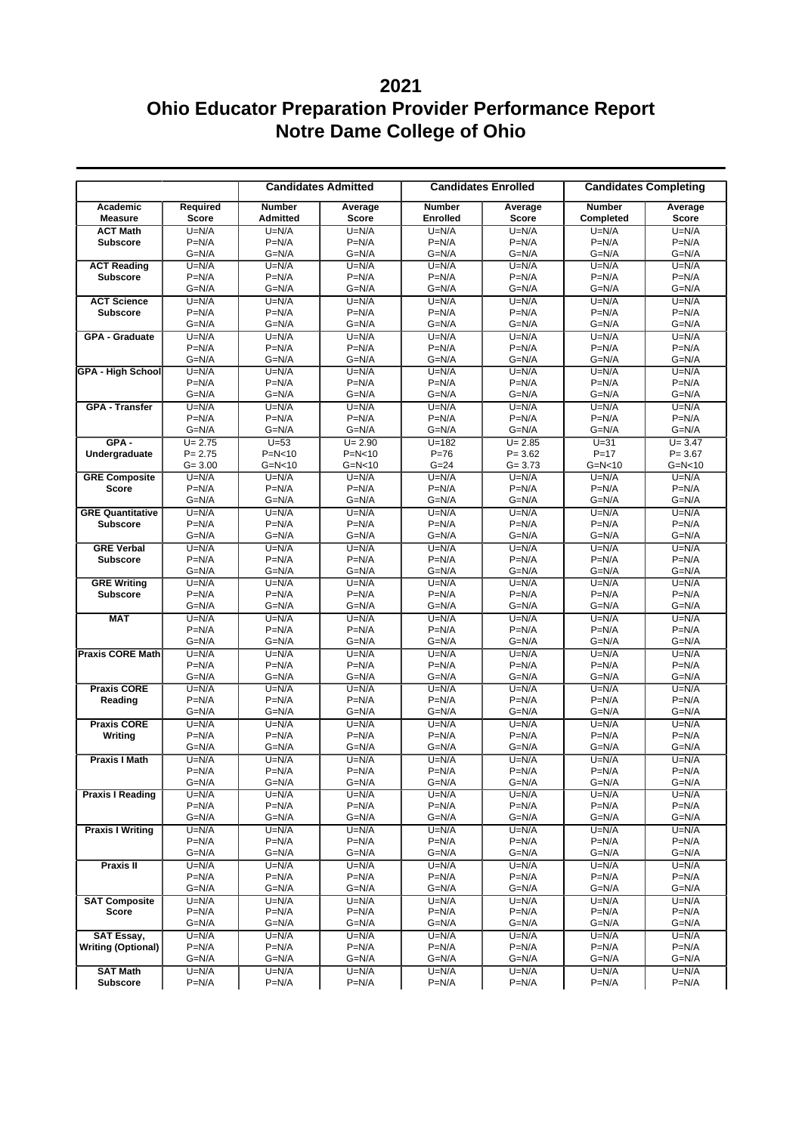## **2021**

|                                       |                          |                                  | <b>Candidates Admitted</b> |                           | <b>Candidates Enrolled</b> |                            | <b>Candidates Completing</b> |
|---------------------------------------|--------------------------|----------------------------------|----------------------------|---------------------------|----------------------------|----------------------------|------------------------------|
| Academic<br><b>Measure</b>            | Required<br><b>Score</b> | <b>Number</b><br><b>Admitted</b> | Average<br><b>Score</b>    | <b>Number</b><br>Enrolled | Average<br><b>Score</b>    | <b>Number</b><br>Completed | Average<br><b>Score</b>      |
| <b>ACT Math</b>                       | $U=N/A$                  | $U=N/A$                          | $U=N/A$                    | $U=N/A$                   | $U=N/A$                    | $U=N/A$                    | $U=N/A$                      |
| <b>Subscore</b>                       | $P=N/A$                  | $P=N/A$                          | $P=N/A$                    | $P=N/A$                   | $P=N/A$                    | $P=N/A$                    | $P=N/A$                      |
|                                       | $G=N/A$                  | $G=N/A$                          | $G=N/A$                    | $G=N/A$                   | $G=N/A$                    | $G=N/A$                    | $G=N/A$                      |
| <b>ACT Reading</b>                    | $U=N/A$                  | $U=N/A$                          | $U=N/A$                    | $U=N/A$                   | $U=N/A$                    | $U=N/A$                    | $U=N/A$                      |
| <b>Subscore</b>                       | $P=N/A$                  | $P=N/A$                          | $P=N/A$                    | $P=N/A$                   | $P=N/A$                    | $P=N/A$                    | $P=N/A$                      |
|                                       | $G=N/A$                  | $G=N/A$                          | $G=N/A$                    | $G=N/A$                   | $G=N/A$                    | $G=N/A$                    | $G=N/A$                      |
| <b>ACT Science</b>                    | $U=N/A$                  | $U=N/A$                          | $U=N/A$                    | $U=N/A$                   | $U=N/A$                    | $U=N/A$                    | $U=N/A$                      |
| <b>Subscore</b>                       | $P=N/A$                  | $P=N/A$                          | $P=N/A$                    | $P=N/A$                   | $P=N/A$                    | $P=N/A$                    | $P=N/A$                      |
|                                       | $G=N/A$                  | $G=N/A$                          | $G=N/A$                    | $G=N/A$                   | $G=N/A$                    | $G=N/A$                    | $G=N/A$                      |
| <b>GPA - Graduate</b>                 | $U=N/A$                  | $U=N/A$                          | $U=N/A$                    | $U=N/A$                   | $U=N/A$                    | $U=N/A$                    | $U=N/A$                      |
|                                       | $P=N/A$                  | $P=N/A$                          | $P=N/A$                    | $P=N/A$                   | $P=N/A$                    | $P=N/A$                    | $P=N/A$                      |
|                                       | $G=N/A$                  | $G=N/A$                          | $G=N/A$                    | $G=N/A$                   | $G=N/A$                    | $G=N/A$                    | $G=N/A$                      |
| GPA - High School                     | $U=N/A$                  | $U=N/A$                          | $U=N/A$                    | $U=N/A$                   | $U=N/A$                    | $U=N/A$                    | $U=N/A$                      |
|                                       | $P=N/A$                  | $P=N/A$                          | $P=N/A$                    | $P=N/A$                   | $P=N/A$                    | $P=N/A$                    | $P=N/A$                      |
|                                       | $G=N/A$                  | $G=N/A$                          | $G=N/A$                    | $G=N/A$                   | $G=N/A$                    | $G=N/A$                    | $G=N/A$                      |
| <b>GPA - Transfer</b>                 | $U=N/A$                  | $U=N/A$                          | $U=N/A$                    | $U=N/A$                   | $U=N/A$                    | $U=N/A$                    | $U=N/A$                      |
|                                       | $P=N/A$                  | $P=N/A$                          | $P=N/A$                    | $P=N/A$                   | $P=N/A$                    | $P=N/A$                    | $P=N/A$                      |
|                                       | $G=N/A$                  | $G=N/A$                          | $G=N/A$                    | $G=N/A$                   | $G=N/A$                    | $G=N/A$                    | $G=N/A$                      |
| GPA-                                  | $U = 2.75$               | $U = 53$                         | $U = 2.90$                 | $U = 182$                 | $U = 2.85$                 | $U = 31$                   | $U = 3.47$                   |
| Undergraduate                         | $P = 2.75$               | $P=N<10$                         | $P=N<10$                   | $P = 76$                  | $P = 3.62$                 | $P = 17$                   | $P = 3.67$                   |
|                                       | $G = 3.00$               | $G=N<10$                         | $G=N<10$                   | $G = 24$                  | $G = 3.73$                 | $G=N<10$                   | $G=N<10$                     |
| <b>GRE Composite</b>                  | $U=N/A$                  | $U=N/A$                          | $U=N/A$                    | $U=N/A$                   | $U=N/A$                    | $U=N/A$                    | $U=N/A$                      |
| <b>Score</b>                          | $P=N/A$                  | $P=N/A$                          | $P=N/A$                    | $P=N/A$                   | $P=N/A$                    | $P=N/A$                    | $P=N/A$                      |
|                                       | $G=N/A$                  | $G=N/A$                          | $G=N/A$                    | $G=N/A$                   | $G=N/A$                    | $G=N/A$                    | $G=N/A$                      |
| <b>GRE Quantitative</b>               | $U=N/A$                  | $U=N/A$                          | $U=N/A$                    | $U=N/A$                   | $U=N/A$                    | $U=N/A$                    | $U=N/A$                      |
| <b>Subscore</b>                       | $P=N/A$                  | $P=N/A$                          | $P=N/A$                    | $P=N/A$                   | $P=N/A$                    | $P=N/A$                    | $P=N/A$                      |
|                                       | $G=N/A$                  | $G=N/A$                          | $G=N/A$                    | $G=N/A$                   | $G=N/A$                    | $G=N/A$                    | $G=N/A$                      |
| <b>GRE Verbal</b>                     | $U=N/A$                  | $U=N/A$                          | $U=N/A$                    | $U=N/A$                   | $U=N/A$                    | $U=N/A$                    | $U=N/A$                      |
| <b>Subscore</b>                       | $P=N/A$                  | $P=N/A$<br>$G=N/A$               | $P=N/A$                    | $P=N/A$<br>$G=N/A$        | $P=N/A$<br>$G=N/A$         | $P=N/A$<br>$G=N/A$         | $P=N/A$                      |
|                                       | $G=N/A$                  |                                  | $G=N/A$                    |                           |                            |                            | $G=N/A$                      |
| <b>GRE Writing</b><br><b>Subscore</b> | $U=N/A$<br>$P=N/A$       | $U=N/A$<br>$P=N/A$               | $U=N/A$<br>$P=N/A$         | $U=N/A$<br>$P=N/A$        | $U=N/A$<br>$P=N/A$         | $U=N/A$<br>$P=N/A$         | $U=N/A$<br>$P=N/A$           |
|                                       | $G=N/A$                  | $G=N/A$                          | $G=N/A$                    | $G=N/A$                   | $G=N/A$                    | $G=N/A$                    | $G=N/A$                      |
| <b>MAT</b>                            | $U=N/A$                  | $U=N/A$                          | $U=N/A$                    | $U=N/A$                   | $U=N/A$                    | $U=N/A$                    | $U=N/A$                      |
|                                       | $P=N/A$                  | $P=N/A$                          | $P=N/A$                    | $P=N/A$                   | $P=N/A$                    | $P=N/A$                    | $P=N/A$                      |
|                                       | $G=N/A$                  | $G=N/A$                          | $G=N/A$                    | $G=N/A$                   | $G=N/A$                    | $G=N/A$                    | $G=N/A$                      |
| <b>Praxis CORE Math</b>               | $U=N/A$                  | $U=N/A$                          | $U=N/A$                    | $U=N/A$                   | $U=N/A$                    | $U=N/A$                    | $U=N/A$                      |
|                                       | $P=N/A$                  | $P=N/A$                          | $P=N/A$                    | $P=N/A$                   | $P=N/A$                    | $P=N/A$                    | $P=N/A$                      |
|                                       | $G=N/A$                  | $G=N/A$                          | $G=N/A$                    | $G=N/A$                   | $G=N/A$                    | $G=N/A$                    | $G=N/A$                      |
| <b>Praxis CORE</b>                    | $U=N/A$                  | $U=N/A$                          | $U=N/A$                    | $U=N/A$                   | $U=N/A$                    | $U=N/A$                    | $U=N/A$                      |
| Reading                               | $P=N/A$                  | $P=N/A$                          | $P=N/A$                    | $P=N/A$                   | $P=N/A$                    | $P=N/A$                    | $P=N/A$                      |
|                                       | $G=N/A$                  | $G=N/A$                          | $G=N/A$                    | $G=N/A$                   | $G=N/A$                    | $G=N/A$                    | $G=N/A$                      |
| <b>Praxis CORE</b>                    | $U=N/A$                  | $U=N/A$                          | $U=N/A$                    | $U=N/A$                   | $U=N/A$                    | $U=N/A$                    | $U=N/A$                      |
| Writing                               | $P=N/A$                  | $P=N/A$                          | $P=N/A$                    | $P=N/A$                   | $P=N/A$                    | $P=N/A$                    | $P=N/A$                      |
|                                       | $G=N/A$                  | $G=N/A$                          | $G=N/A$                    | $G=N/A$                   | $G=N/A$                    | $G=N/A$                    | $G=N/A$                      |
| <b>Praxis I Math</b>                  | $U=N/A$                  | $U=N/A$                          | $U=N/A$                    | $U=N/A$                   | $U=N/A$                    | $U=N/A$                    | $U=N/A$                      |
|                                       | $P=N/A$                  | $P=N/A$                          | $P=N/A$                    | $P=N/A$                   | $P=N/A$                    | $P=N/A$                    | $P=N/A$                      |
|                                       | $G=N/A$                  | $G=N/A$                          | $G=N/A$                    | $G=N/A$                   | $G=N/A$                    | $G=N/A$                    | $G=N/A$                      |
| <b>Praxis I Reading</b>               | $U=N/A$                  | $U=N/A$                          | $U=N/A$                    | $U=N/A$                   | $U=N/A$                    | $U=N/A$                    | $U=N/A$                      |
|                                       | $P=N/A$                  | $P=N/A$                          | $P=N/A$                    | $P=N/A$                   | $P=N/A$                    | $P=N/A$                    | $P=N/A$                      |
|                                       | $G=N/A$                  | $G=N/A$                          | $G=N/A$                    | $G=N/A$                   | $G=N/A$                    | $G=N/A$                    | $G=N/A$                      |
| <b>Praxis I Writing</b>               | $U=N/A$                  | $U=N/A$                          | $U=N/A$                    | $U=N/A$                   | $U=N/A$                    | $U=N/A$                    | $U=N/A$                      |
|                                       | $P=N/A$                  | $P=N/A$                          | $P=N/A$                    | $P=N/A$                   | $P=N/A$                    | $P=N/A$                    | $P=N/A$                      |
|                                       | $G=N/A$                  | $G=N/A$                          | $G=N/A$                    | $G=N/A$                   | G=N/A                      | $G=N/A$                    | $G=N/A$                      |
| Praxis II                             | $U=N/A$                  | $U=N/A$                          | $U=N/A$                    | $U=N/A$                   | $U=N/A$                    | $U=N/A$                    | $U=N/A$                      |
|                                       | $P=N/A$                  | $P=N/A$                          | $P=N/A$                    | $P=N/A$                   | $P=N/A$                    | $P=N/A$                    | $P=N/A$                      |
|                                       | $G=N/A$                  | $G=N/A$                          | $G=N/A$                    | $G=N/A$                   | $G=N/A$                    | $G=N/A$                    | $G=N/A$                      |
| <b>SAT Composite</b>                  | $U=N/A$                  | $U=N/A$                          | $U=N/A$                    | $U=N/A$                   | $U=N/A$                    | $U=N/A$                    | $U=N/A$                      |
| Score                                 | $P=N/A$                  | $P=N/A$                          | $P=N/A$                    | $P=N/A$                   | $P=N/A$                    | $P=N/A$                    | $P=N/A$                      |
|                                       | $G=N/A$                  | $G=N/A$                          | $G=N/A$                    | $G=N/A$                   | $G=N/A$                    | $G=N/A$                    | $G=N/A$                      |
| <b>SAT Essay.</b>                     | $U=N/A$                  | $U=N/A$                          | $U=N/A$                    | $U=N/A$                   | $U=N/A$                    | $U=N/A$                    | $U=N/A$                      |
| <b>Writing (Optional)</b>             | $P=N/A$                  | $P=N/A$                          | $P=N/A$                    | $P=N/A$                   | $P=N/A$                    | $P=N/A$                    | $P=N/A$                      |
|                                       | $G=N/A$                  | $G=N/A$                          | $G=N/A$                    | $G=N/A$                   | $G=N/A$                    | $G=N/A$                    | $G=N/A$                      |
| <b>SAT Math</b>                       | $U=N/A$                  | $U=N/A$                          | $U=N/A$                    | $U=N/A$                   | $U=N/A$                    | $U=N/A$                    | $U=N/A$                      |
| <b>Subscore</b>                       | $P=N/A$                  | $P=N/A$                          | $P=N/A$                    | $P=N/A$                   | $P=N/A$                    | $P=N/A$                    | $P=N/A$                      |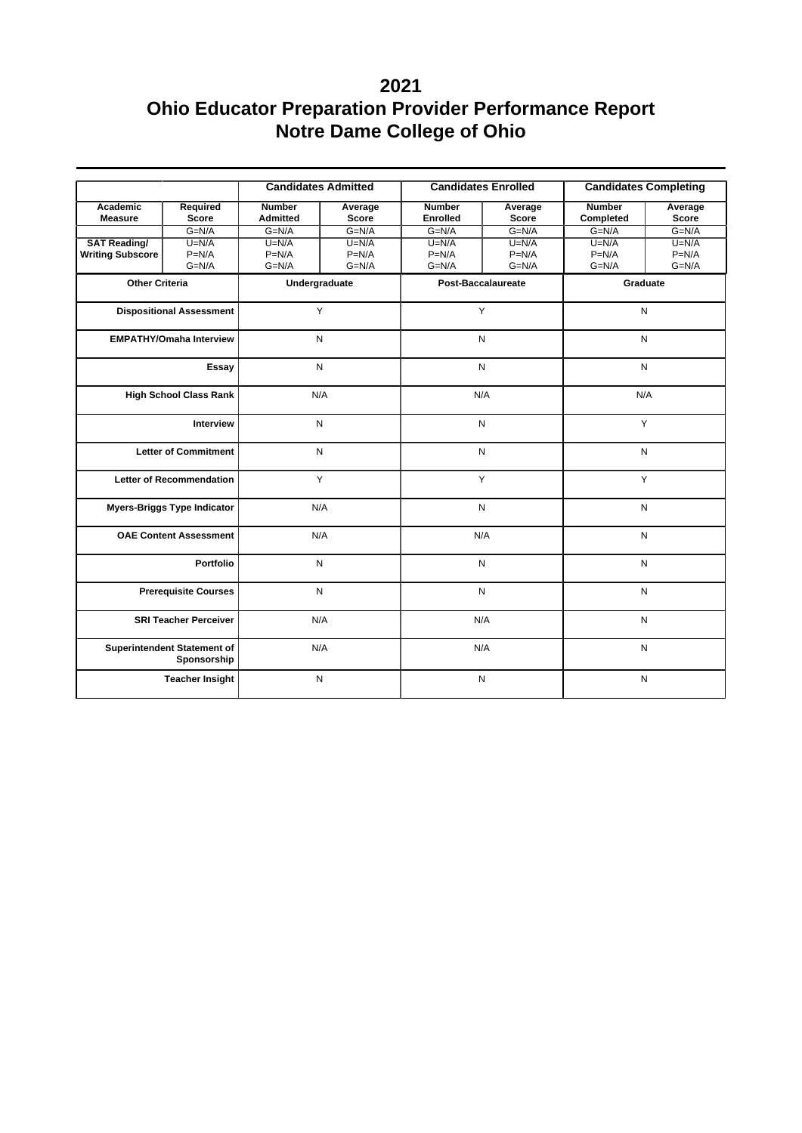|                         |                                                                 |                 | <b>Candidates Admitted</b> |                    | <b>Candidates Enrolled</b> | <b>Candidates Completing</b> |              |
|-------------------------|-----------------------------------------------------------------|-----------------|----------------------------|--------------------|----------------------------|------------------------------|--------------|
| Academic                | <b>Required</b>                                                 | <b>Number</b>   | Average                    | <b>Number</b>      | Average                    | <b>Number</b>                | Average      |
| <b>Measure</b>          | <b>Score</b>                                                    | <b>Admitted</b> | <b>Score</b>               | <b>Enrolled</b>    | <b>Score</b>               | Completed                    | <b>Score</b> |
|                         | $G=N/A$                                                         | $G=N/A$         | $G=N/A$                    | $G=N/A$            | $G=N/A$                    | $G=N/A$                      | $G=N/A$      |
| <b>SAT Reading/</b>     | $U=N/A$                                                         | $U=N/A$         | $U=N/A$                    | $U=N/A$            | $U=N/A$                    | $U=N/A$                      | $U=N/A$      |
| <b>Writing Subscore</b> | $P=N/A$                                                         | $P=N/A$         | $P=N/A$                    | $P=N/A$            | $P=N/A$                    | $P=N/A$                      | $P=N/A$      |
|                         | $G=N/A$                                                         | $G=N/A$         | $G=N/A$                    | $G=N/A$            | $G=N/A$                    | $G=N/A$                      | $G=N/A$      |
| <b>Other Criteria</b>   |                                                                 | Undergraduate   |                            | Post-Baccalaureate |                            | Graduate                     |              |
|                         | <b>Dispositional Assessment</b>                                 |                 | Y                          | Y                  |                            | ${\sf N}$                    |              |
|                         | <b>EMPATHY/Omaha Interview</b>                                  |                 | N                          | N                  |                            | N                            |              |
|                         | Essay                                                           |                 | N                          | ${\sf N}$          |                            | ${\sf N}$                    |              |
|                         | N/A<br><b>High School Class Rank</b><br>N/A                     |                 |                            |                    |                            | N/A                          |              |
|                         | Interview                                                       |                 | N                          |                    | N                          |                              | Y            |
|                         | <b>Letter of Commitment</b>                                     |                 | N                          |                    | N                          |                              | N            |
|                         | Letter of Recommendation                                        |                 | Y                          | Y                  |                            | Y                            |              |
|                         | <b>Myers-Briggs Type Indicator</b>                              |                 | N/A                        | N                  |                            | N                            |              |
|                         | <b>OAE Content Assessment</b>                                   |                 | N/A                        |                    | N/A                        | ${\sf N}$                    |              |
|                         | Portfolio<br>N<br>${\sf N}$                                     |                 |                            |                    |                            | ${\sf N}$                    |              |
|                         | <b>Prerequisite Courses</b>                                     |                 | N                          |                    | N                          | N                            |              |
|                         | <b>SRI Teacher Perceiver</b>                                    |                 | N/A                        |                    | N/A                        | N                            |              |
|                         | N/A<br>N/A<br><b>Superintendent Statement of</b><br>Sponsorship |                 | ${\sf N}$                  |                    |                            |                              |              |
|                         | <b>Teacher Insight</b>                                          | ${\sf N}$       |                            | N                  |                            | N                            |              |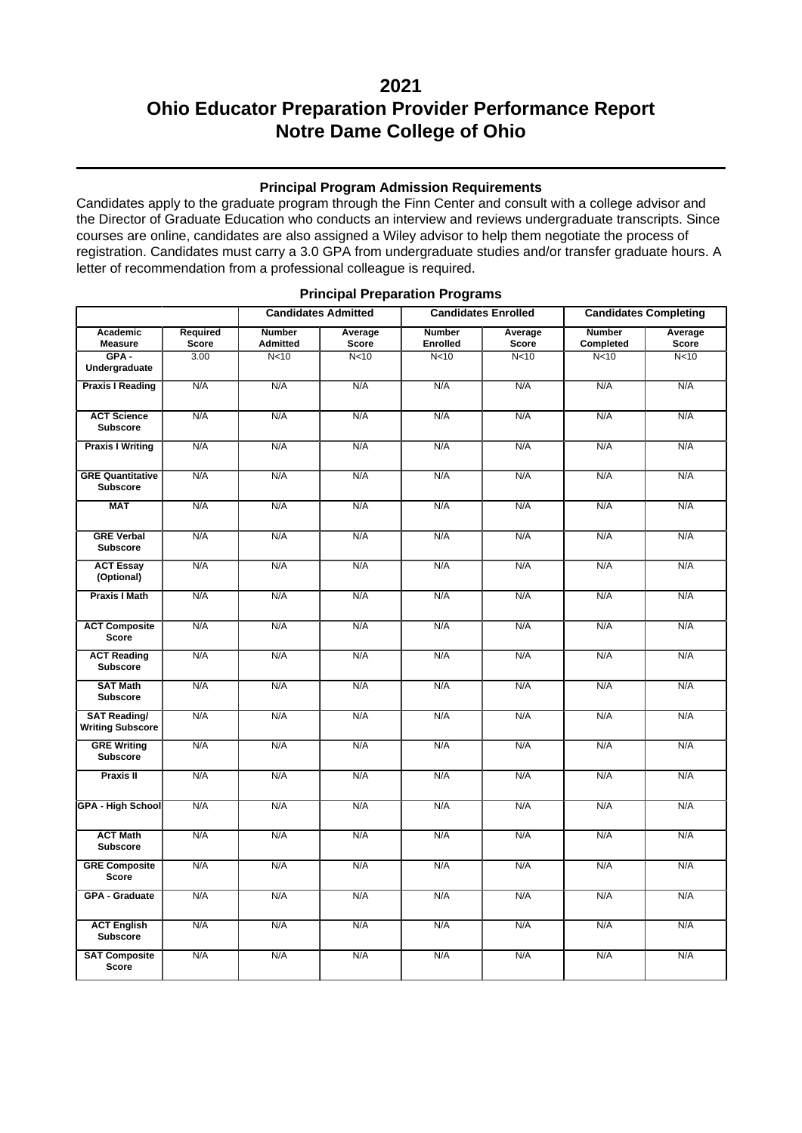## **2021**

# **Ohio Educator Preparation Provider Performance Report Notre Dame College of Ohio**

#### **Principal Program Admission Requirements**

Candidates apply to the graduate program through the Finn Center and consult with a college advisor and the Director of Graduate Education who conducts an interview and reviews undergraduate transcripts. Since courses are online, candidates are also assigned a Wiley advisor to help them negotiate the process of registration. Candidates must carry a 3.0 GPA from undergraduate studies and/or transfer graduate hours. A letter of recommendation from a professional colleague is required.

|                                                |                          |                                  | <b>Candidates Admitted</b> |                                  | <b>Candidates Enrolled</b> | <b>Candidates Completing</b> |                         |
|------------------------------------------------|--------------------------|----------------------------------|----------------------------|----------------------------------|----------------------------|------------------------------|-------------------------|
| Academic<br><b>Measure</b>                     | Required<br><b>Score</b> | <b>Number</b><br><b>Admitted</b> | Average<br><b>Score</b>    | <b>Number</b><br><b>Enrolled</b> | Average<br><b>Score</b>    | <b>Number</b><br>Completed   | Average<br><b>Score</b> |
| $GPA -$<br>Undergraduate                       | 3.00                     | N <sub>10</sub>                  | N <sub>10</sub>            | N <sub>10</sub>                  | N <sub>10</sub>            | N <sub>10</sub>              | N <sub>10</sub>         |
| <b>Praxis I Reading</b>                        | N/A                      | N/A                              | N/A                        | N/A                              | N/A                        | N/A                          | N/A                     |
| <b>ACT Science</b><br><b>Subscore</b>          | N/A                      | N/A                              | N/A                        | N/A                              | N/A                        | N/A                          | N/A                     |
| <b>Praxis I Writing</b>                        | N/A                      | N/A                              | N/A                        | N/A                              | N/A                        | N/A                          | N/A                     |
| <b>GRE Quantitative</b><br><b>Subscore</b>     | N/A                      | N/A                              | N/A                        | N/A                              | N/A                        | N/A                          | N/A                     |
| <b>MAT</b>                                     | N/A                      | N/A                              | N/A                        | N/A                              | N/A                        | N/A                          | N/A                     |
| <b>GRE Verbal</b><br><b>Subscore</b>           | N/A                      | N/A                              | N/A                        | N/A                              | N/A                        | N/A                          | N/A                     |
| <b>ACT Essay</b><br>(Optional)                 | N/A                      | N/A                              | N/A                        | N/A                              | N/A                        | N/A                          | N/A                     |
| <b>Praxis I Math</b>                           | N/A                      | N/A                              | N/A                        | N/A                              | N/A                        | N/A                          | N/A                     |
| <b>ACT Composite</b><br><b>Score</b>           | N/A                      | N/A                              | N/A                        | N/A                              | N/A                        | N/A                          | N/A                     |
| <b>ACT Reading</b><br><b>Subscore</b>          | N/A                      | N/A                              | N/A                        | N/A                              | N/A                        | N/A                          | N/A                     |
| <b>SAT Math</b><br><b>Subscore</b>             | N/A                      | N/A                              | N/A                        | N/A                              | N/A                        | N/A                          | N/A                     |
| <b>SAT Reading/</b><br><b>Writing Subscore</b> | N/A                      | N/A                              | N/A                        | N/A                              | N/A                        | N/A                          | N/A                     |
| <b>GRE Writing</b><br><b>Subscore</b>          | N/A                      | N/A                              | N/A                        | N/A                              | N/A                        | N/A                          | N/A                     |
| <b>Praxis II</b>                               | N/A                      | N/A                              | N/A                        | N/A                              | N/A                        | N/A                          | N/A                     |
| <b>GPA - High School</b>                       | N/A                      | N/A                              | N/A                        | N/A                              | N/A                        | N/A                          | N/A                     |
| <b>ACT Math</b><br><b>Subscore</b>             | N/A                      | N/A                              | N/A                        | N/A                              | N/A                        | N/A                          | N/A                     |
| <b>GRE Composite</b><br><b>Score</b>           | N/A                      | N/A                              | N/A                        | N/A                              | N/A                        | N/A                          | N/A                     |
| <b>GPA - Graduate</b>                          | N/A                      | N/A                              | N/A                        | N/A                              | N/A                        | N/A                          | N/A                     |
| <b>ACT English</b><br><b>Subscore</b>          | N/A                      | N/A                              | N/A                        | N/A                              | N/A                        | N/A                          | N/A                     |
| <b>SAT Composite</b><br><b>Score</b>           | N/A                      | N/A                              | N/A                        | N/A                              | N/A                        | N/A                          | N/A                     |

#### **Principal Preparation Programs**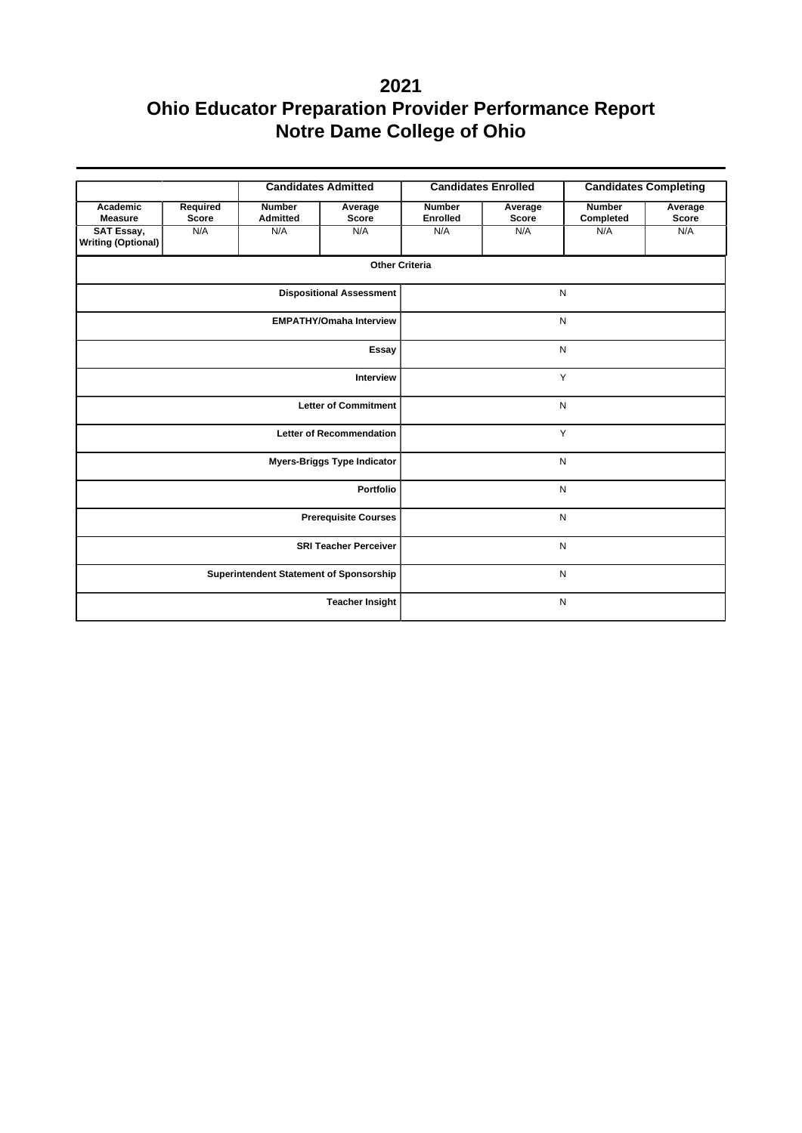|                                                |                          | <b>Candidates Admitted</b>              |                                    |                                  | <b>Candidates Enrolled</b> |                            | <b>Candidates Completing</b> |  |
|------------------------------------------------|--------------------------|-----------------------------------------|------------------------------------|----------------------------------|----------------------------|----------------------------|------------------------------|--|
| Academic<br><b>Measure</b>                     | Required<br><b>Score</b> | <b>Number</b><br><b>Admitted</b>        | Average<br><b>Score</b>            | <b>Number</b><br><b>Enrolled</b> | Average<br><b>Score</b>    | <b>Number</b><br>Completed | Average<br><b>Score</b>      |  |
| <b>SAT Essay,</b><br><b>Writing (Optional)</b> | N/A                      | N/A                                     | N/A                                | N/A                              | N/A                        | N/A                        | N/A                          |  |
|                                                |                          |                                         | <b>Other Criteria</b>              |                                  |                            |                            |                              |  |
|                                                |                          |                                         | <b>Dispositional Assessment</b>    |                                  |                            | N                          |                              |  |
|                                                |                          |                                         | <b>EMPATHY/Omaha Interview</b>     |                                  |                            | N                          |                              |  |
|                                                |                          |                                         | Essay                              |                                  |                            | N                          |                              |  |
|                                                |                          |                                         | Interview                          | Y                                |                            |                            |                              |  |
|                                                |                          |                                         | <b>Letter of Commitment</b>        |                                  |                            | N                          |                              |  |
|                                                |                          |                                         | <b>Letter of Recommendation</b>    |                                  |                            | Y                          |                              |  |
|                                                |                          |                                         | <b>Myers-Briggs Type Indicator</b> |                                  |                            | N                          |                              |  |
|                                                |                          |                                         | Portfolio                          |                                  |                            | N                          |                              |  |
|                                                |                          |                                         | <b>Prerequisite Courses</b>        |                                  |                            | N                          |                              |  |
| <b>SRI Teacher Perceiver</b>                   |                          |                                         |                                    |                                  |                            | N                          |                              |  |
|                                                |                          | Superintendent Statement of Sponsorship |                                    |                                  |                            | N                          |                              |  |
|                                                |                          |                                         | <b>Teacher Insight</b>             |                                  |                            | N                          |                              |  |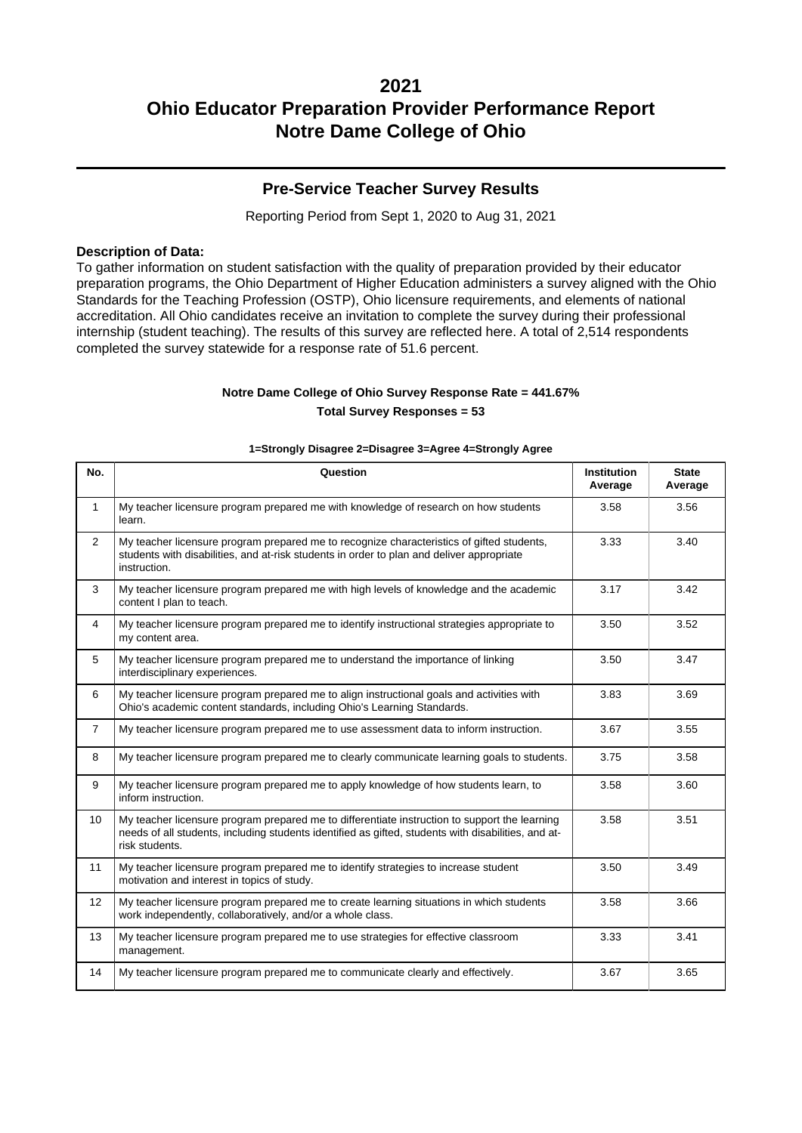### **Pre-Service Teacher Survey Results**

Reporting Period from Sept 1, 2020 to Aug 31, 2021

#### **Description of Data:**

To gather information on student satisfaction with the quality of preparation provided by their educator preparation programs, the Ohio Department of Higher Education administers a survey aligned with the Ohio Standards for the Teaching Profession (OSTP), Ohio licensure requirements, and elements of national accreditation. All Ohio candidates receive an invitation to complete the survey during their professional internship (student teaching). The results of this survey are reflected here. A total of 2,514 respondents completed the survey statewide for a response rate of 51.6 percent.

### **Notre Dame College of Ohio Survey Response Rate = 441.67% Total Survey Responses = 53**

| No.             | Question                                                                                                                                                                                                               | <b>Institution</b><br>Average | <b>State</b><br>Average |
|-----------------|------------------------------------------------------------------------------------------------------------------------------------------------------------------------------------------------------------------------|-------------------------------|-------------------------|
| $\mathbf{1}$    | My teacher licensure program prepared me with knowledge of research on how students<br>learn.                                                                                                                          | 3.58                          | 3.56                    |
| $\overline{2}$  | My teacher licensure program prepared me to recognize characteristics of gifted students,<br>students with disabilities, and at-risk students in order to plan and deliver appropriate<br>instruction.                 | 3.33                          | 3.40                    |
| 3               | My teacher licensure program prepared me with high levels of knowledge and the academic<br>content I plan to teach.                                                                                                    | 3.17                          | 3.42                    |
| 4               | My teacher licensure program prepared me to identify instructional strategies appropriate to<br>my content area.                                                                                                       | 3.50                          | 3.52                    |
| 5               | My teacher licensure program prepared me to understand the importance of linking<br>interdisciplinary experiences.                                                                                                     | 3.50                          | 3.47                    |
| 6               | My teacher licensure program prepared me to align instructional goals and activities with<br>Ohio's academic content standards, including Ohio's Learning Standards.                                                   | 3.83                          | 3.69                    |
| $\overline{7}$  | My teacher licensure program prepared me to use assessment data to inform instruction.                                                                                                                                 | 3.67                          | 3.55                    |
| 8               | My teacher licensure program prepared me to clearly communicate learning goals to students.                                                                                                                            | 3.75                          | 3.58                    |
| 9               | My teacher licensure program prepared me to apply knowledge of how students learn, to<br>inform instruction.                                                                                                           | 3.58                          | 3.60                    |
| 10 <sup>1</sup> | My teacher licensure program prepared me to differentiate instruction to support the learning<br>needs of all students, including students identified as gifted, students with disabilities, and at-<br>risk students. | 3.58                          | 3.51                    |
| 11              | My teacher licensure program prepared me to identify strategies to increase student<br>motivation and interest in topics of study.                                                                                     | 3.50                          | 3.49                    |
| 12              | My teacher licensure program prepared me to create learning situations in which students<br>work independently, collaboratively, and/or a whole class.                                                                 | 3.58                          | 3.66                    |
| 13              | My teacher licensure program prepared me to use strategies for effective classroom<br>management.                                                                                                                      | 3.33                          | 3.41                    |
| 14              | My teacher licensure program prepared me to communicate clearly and effectively.                                                                                                                                       | 3.67                          | 3.65                    |

#### **1=Strongly Disagree 2=Disagree 3=Agree 4=Strongly Agree**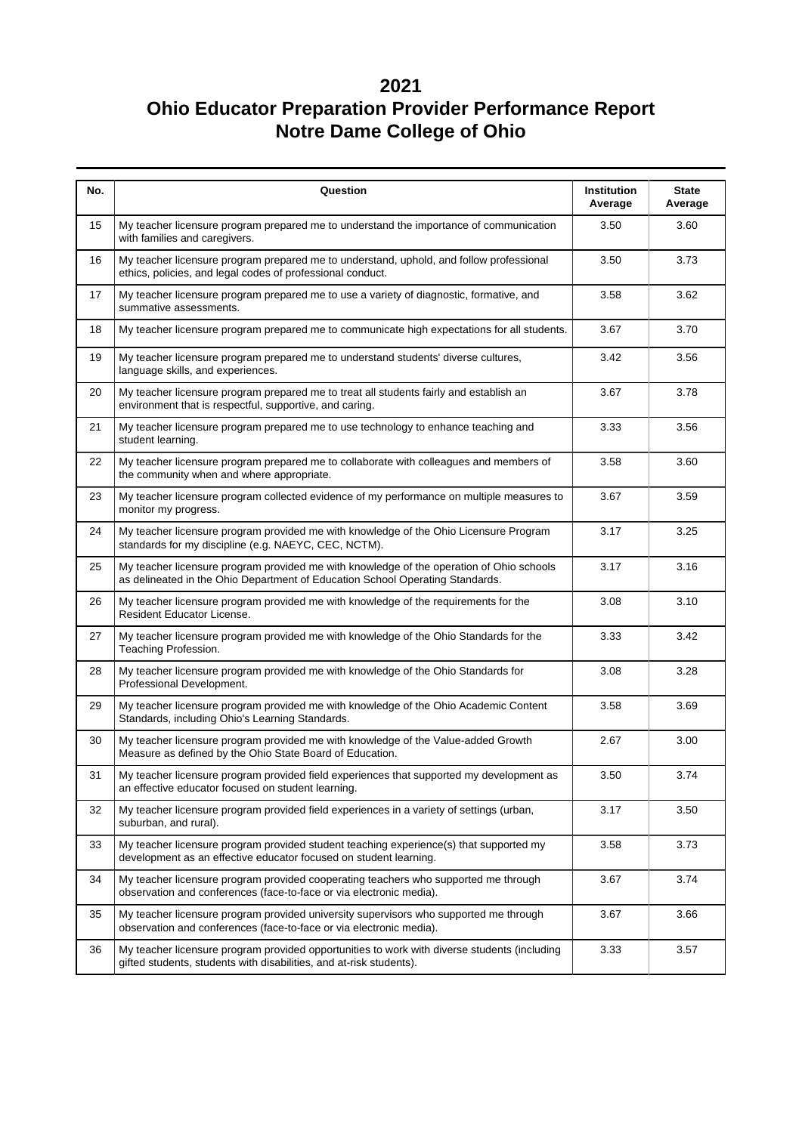| No. | Question                                                                                                                                                                  | Institution<br>Average | <b>State</b><br>Average |  |  |
|-----|---------------------------------------------------------------------------------------------------------------------------------------------------------------------------|------------------------|-------------------------|--|--|
| 15  | My teacher licensure program prepared me to understand the importance of communication<br>with families and caregivers.                                                   | 3.50                   | 3.60                    |  |  |
| 16  | My teacher licensure program prepared me to understand, uphold, and follow professional<br>ethics, policies, and legal codes of professional conduct.                     | 3.50                   | 3.73                    |  |  |
| 17  | My teacher licensure program prepared me to use a variety of diagnostic, formative, and<br>summative assessments.                                                         | 3.58                   | 3.62                    |  |  |
| 18  | My teacher licensure program prepared me to communicate high expectations for all students.                                                                               | 3.67                   | 3.70                    |  |  |
| 19  | My teacher licensure program prepared me to understand students' diverse cultures,<br>language skills, and experiences.                                                   | 3.42                   | 3.56                    |  |  |
| 20  | My teacher licensure program prepared me to treat all students fairly and establish an<br>environment that is respectful, supportive, and caring.                         | 3.67                   | 3.78                    |  |  |
| 21  | My teacher licensure program prepared me to use technology to enhance teaching and<br>3.33<br>student learning.                                                           |                        |                         |  |  |
| 22  | My teacher licensure program prepared me to collaborate with colleagues and members of<br>3.58<br>the community when and where appropriate.                               |                        |                         |  |  |
| 23  | My teacher licensure program collected evidence of my performance on multiple measures to<br>3.67<br>monitor my progress.                                                 |                        |                         |  |  |
| 24  | My teacher licensure program provided me with knowledge of the Ohio Licensure Program<br>standards for my discipline (e.g. NAEYC, CEC, NCTM).                             | 3.17                   | 3.25                    |  |  |
| 25  | My teacher licensure program provided me with knowledge of the operation of Ohio schools<br>as delineated in the Ohio Department of Education School Operating Standards. | 3.17                   | 3.16                    |  |  |
| 26  | My teacher licensure program provided me with knowledge of the requirements for the<br>Resident Educator License.                                                         | 3.08                   | 3.10                    |  |  |
| 27  | My teacher licensure program provided me with knowledge of the Ohio Standards for the<br>Teaching Profession.                                                             | 3.33                   | 3.42                    |  |  |
| 28  | My teacher licensure program provided me with knowledge of the Ohio Standards for<br>3.08<br>Professional Development.                                                    |                        | 3.28                    |  |  |
| 29  | My teacher licensure program provided me with knowledge of the Ohio Academic Content<br>Standards, including Ohio's Learning Standards.                                   | 3.58                   | 3.69                    |  |  |
| 30  | My teacher licensure program provided me with knowledge of the Value-added Growth<br>Measure as defined by the Ohio State Board of Education.                             | 2.67                   | 3.00                    |  |  |
| 31  | My teacher licensure program provided field experiences that supported my development as<br>an effective educator focused on student learning.                            | 3.50                   | 3.74                    |  |  |
| 32  | My teacher licensure program provided field experiences in a variety of settings (urban,<br>suburban, and rural).                                                         | 3.17                   | 3.50                    |  |  |
| 33  | My teacher licensure program provided student teaching experience(s) that supported my<br>development as an effective educator focused on student learning.               | 3.58                   | 3.73                    |  |  |
| 34  | My teacher licensure program provided cooperating teachers who supported me through<br>observation and conferences (face-to-face or via electronic media).                | 3.67                   | 3.74                    |  |  |
| 35  | My teacher licensure program provided university supervisors who supported me through<br>observation and conferences (face-to-face or via electronic media).              | 3.67                   | 3.66                    |  |  |
| 36  | My teacher licensure program provided opportunities to work with diverse students (including<br>gifted students, students with disabilities, and at-risk students).       | 3.33                   | 3.57                    |  |  |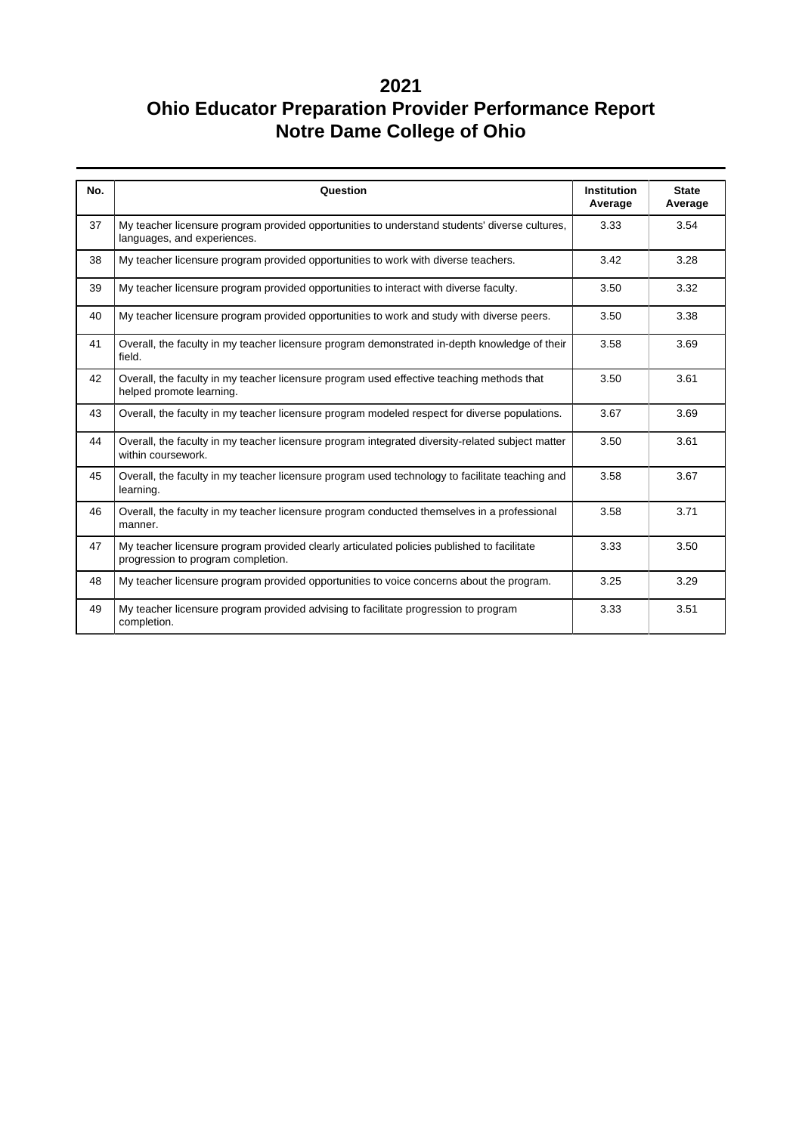| No. | Question                                                                                                                         | <b>Institution</b> | <b>State</b> |
|-----|----------------------------------------------------------------------------------------------------------------------------------|--------------------|--------------|
|     |                                                                                                                                  | Average            | Average      |
| 37  | My teacher licensure program provided opportunities to understand students' diverse cultures,<br>languages, and experiences.     | 3.33               | 3.54         |
| 38  | My teacher licensure program provided opportunities to work with diverse teachers.                                               | 3.42               | 3.28         |
| 39  | My teacher licensure program provided opportunities to interact with diverse faculty.                                            | 3.50               | 3.32         |
| 40  | My teacher licensure program provided opportunities to work and study with diverse peers.                                        | 3.50               | 3.38         |
| 41  | Overall, the faculty in my teacher licensure program demonstrated in-depth knowledge of their<br>field.                          | 3.58               | 3.69         |
| 42  | Overall, the faculty in my teacher licensure program used effective teaching methods that<br>helped promote learning.            | 3.50               | 3.61         |
| 43  | Overall, the faculty in my teacher licensure program modeled respect for diverse populations.                                    | 3.67               | 3.69         |
| 44  | Overall, the faculty in my teacher licensure program integrated diversity-related subject matter<br>within coursework.           | 3.50               | 3.61         |
| 45  | Overall, the faculty in my teacher licensure program used technology to facilitate teaching and<br>learning.                     | 3.58               | 3.67         |
| 46  | Overall, the faculty in my teacher licensure program conducted themselves in a professional<br>manner.                           | 3.58               | 3.71         |
| 47  | My teacher licensure program provided clearly articulated policies published to facilitate<br>progression to program completion. | 3.33               | 3.50         |
| 48  | My teacher licensure program provided opportunities to voice concerns about the program.                                         | 3.25               | 3.29         |
| 49  | My teacher licensure program provided advising to facilitate progression to program<br>completion.                               | 3.33               | 3.51         |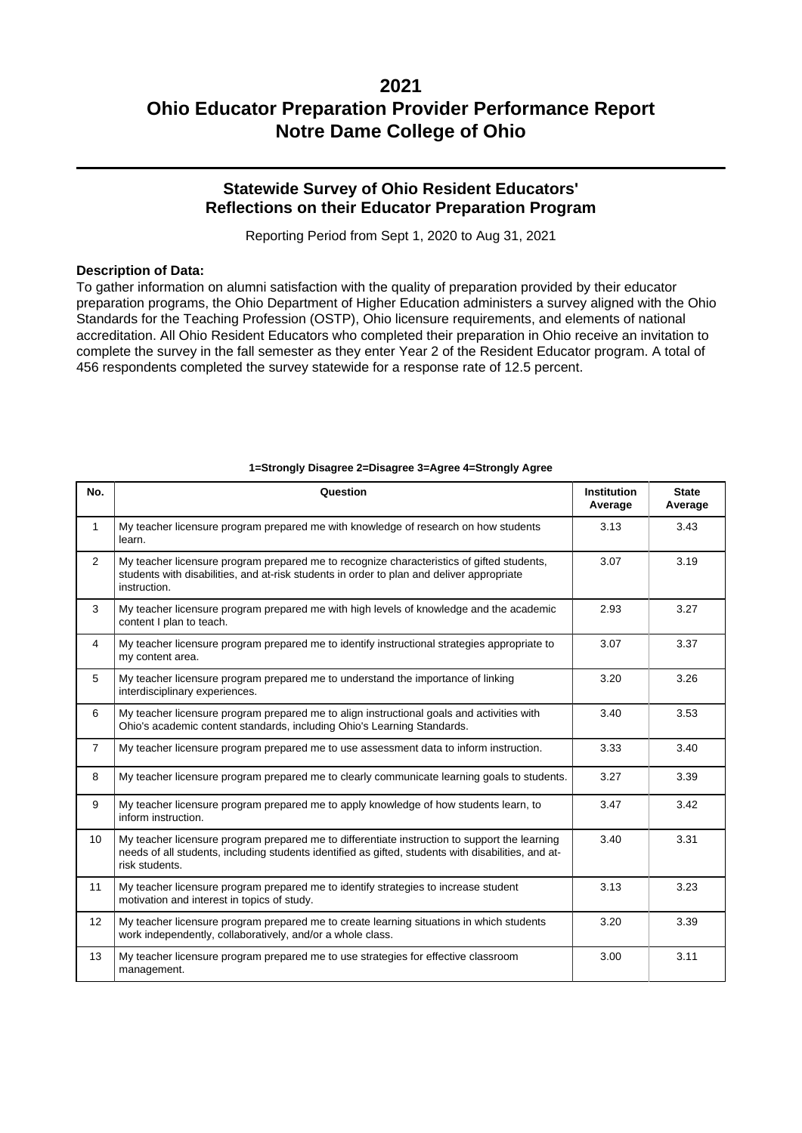## **Statewide Survey of Ohio Resident Educators' Reflections on their Educator Preparation Program**

Reporting Period from Sept 1, 2020 to Aug 31, 2021

#### **Description of Data:**

To gather information on alumni satisfaction with the quality of preparation provided by their educator preparation programs, the Ohio Department of Higher Education administers a survey aligned with the Ohio Standards for the Teaching Profession (OSTP), Ohio licensure requirements, and elements of national accreditation. All Ohio Resident Educators who completed their preparation in Ohio receive an invitation to complete the survey in the fall semester as they enter Year 2 of the Resident Educator program. A total of 456 respondents completed the survey statewide for a response rate of 12.5 percent.

| No.            | Question                                                                                                                                                                                                               | <b>Institution</b><br>Average | <b>State</b><br>Average |
|----------------|------------------------------------------------------------------------------------------------------------------------------------------------------------------------------------------------------------------------|-------------------------------|-------------------------|
| $\mathbf{1}$   | My teacher licensure program prepared me with knowledge of research on how students<br>learn.                                                                                                                          | 3.13                          | 3.43                    |
| $\overline{2}$ | My teacher licensure program prepared me to recognize characteristics of gifted students,<br>students with disabilities, and at-risk students in order to plan and deliver appropriate<br>instruction.                 | 3.07                          | 3.19                    |
| 3              | My teacher licensure program prepared me with high levels of knowledge and the academic<br>content I plan to teach.                                                                                                    | 2.93                          | 3.27                    |
| $\overline{4}$ | My teacher licensure program prepared me to identify instructional strategies appropriate to<br>my content area.                                                                                                       | 3.07                          | 3.37                    |
| 5              | My teacher licensure program prepared me to understand the importance of linking<br>interdisciplinary experiences.                                                                                                     | 3.20                          | 3.26                    |
| 6              | My teacher licensure program prepared me to align instructional goals and activities with<br>Ohio's academic content standards, including Ohio's Learning Standards.                                                   | 3.40                          | 3.53                    |
| $\overline{7}$ | My teacher licensure program prepared me to use assessment data to inform instruction.                                                                                                                                 | 3.33                          | 3.40                    |
| 8              | My teacher licensure program prepared me to clearly communicate learning goals to students.                                                                                                                            | 3.27                          | 3.39                    |
| 9              | My teacher licensure program prepared me to apply knowledge of how students learn, to<br>inform instruction.                                                                                                           | 3.47                          | 3.42                    |
| 10             | My teacher licensure program prepared me to differentiate instruction to support the learning<br>needs of all students, including students identified as gifted, students with disabilities, and at-<br>risk students. | 3.40                          | 3.31                    |
| 11             | My teacher licensure program prepared me to identify strategies to increase student<br>motivation and interest in topics of study.                                                                                     | 3.13                          | 3.23                    |
| 12             | My teacher licensure program prepared me to create learning situations in which students<br>work independently, collaboratively, and/or a whole class.                                                                 | 3.20                          | 3.39                    |
| 13             | My teacher licensure program prepared me to use strategies for effective classroom<br>management.                                                                                                                      | 3.00                          | 3.11                    |

#### **1=Strongly Disagree 2=Disagree 3=Agree 4=Strongly Agree**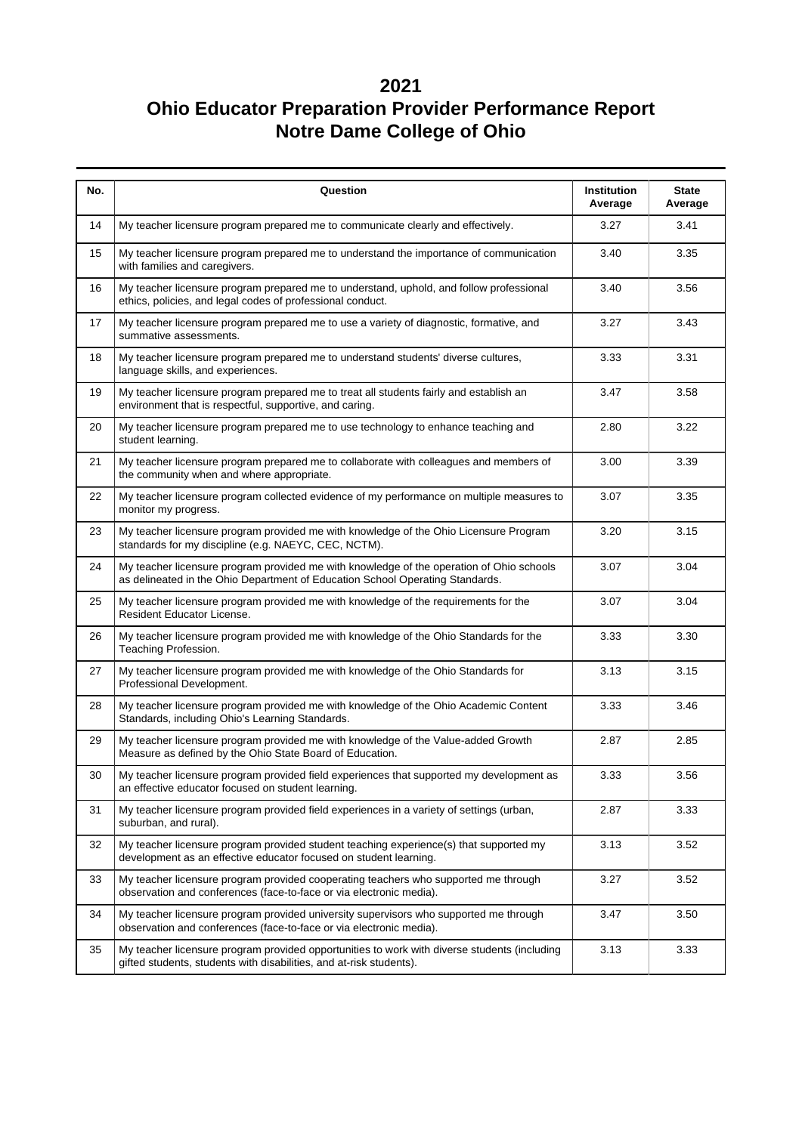| No. | Question                                                                                                                                                                  | Institution<br>Average | <b>State</b><br>Average |  |  |
|-----|---------------------------------------------------------------------------------------------------------------------------------------------------------------------------|------------------------|-------------------------|--|--|
| 14  | My teacher licensure program prepared me to communicate clearly and effectively.                                                                                          | 3.27                   | 3.41                    |  |  |
| 15  | My teacher licensure program prepared me to understand the importance of communication<br>with families and caregivers.                                                   | 3.40                   | 3.35                    |  |  |
| 16  | My teacher licensure program prepared me to understand, uphold, and follow professional<br>ethics, policies, and legal codes of professional conduct.                     | 3.40                   | 3.56                    |  |  |
| 17  | My teacher licensure program prepared me to use a variety of diagnostic, formative, and<br>summative assessments.                                                         | 3.27                   | 3.43                    |  |  |
| 18  | My teacher licensure program prepared me to understand students' diverse cultures,<br>language skills, and experiences.                                                   | 3.33                   | 3.31                    |  |  |
| 19  | My teacher licensure program prepared me to treat all students fairly and establish an<br>environment that is respectful, supportive, and caring.                         | 3.47                   | 3.58                    |  |  |
| 20  | My teacher licensure program prepared me to use technology to enhance teaching and<br>2.80<br>student learning.                                                           |                        |                         |  |  |
| 21  | My teacher licensure program prepared me to collaborate with colleagues and members of<br>3.00<br>the community when and where appropriate.                               |                        |                         |  |  |
| 22  | My teacher licensure program collected evidence of my performance on multiple measures to<br>3.07<br>monitor my progress.                                                 |                        |                         |  |  |
| 23  | My teacher licensure program provided me with knowledge of the Ohio Licensure Program<br>standards for my discipline (e.g. NAEYC, CEC, NCTM).                             | 3.20                   | 3.15                    |  |  |
| 24  | My teacher licensure program provided me with knowledge of the operation of Ohio schools<br>as delineated in the Ohio Department of Education School Operating Standards. | 3.07                   | 3.04                    |  |  |
| 25  | My teacher licensure program provided me with knowledge of the requirements for the<br>Resident Educator License.                                                         | 3.07                   | 3.04                    |  |  |
| 26  | My teacher licensure program provided me with knowledge of the Ohio Standards for the<br>Teaching Profession.                                                             | 3.33                   | 3.30                    |  |  |
| 27  | My teacher licensure program provided me with knowledge of the Ohio Standards for<br>3.13<br>Professional Development.                                                    |                        | 3.15                    |  |  |
| 28  | My teacher licensure program provided me with knowledge of the Ohio Academic Content<br>Standards, including Ohio's Learning Standards.                                   | 3.33                   | 3.46                    |  |  |
| 29  | My teacher licensure program provided me with knowledge of the Value-added Growth<br>Measure as defined by the Ohio State Board of Education.                             | 2.87                   | 2.85                    |  |  |
| 30  | My teacher licensure program provided field experiences that supported my development as<br>an effective educator focused on student learning.                            | 3.33                   | 3.56                    |  |  |
| 31  | My teacher licensure program provided field experiences in a variety of settings (urban,<br>suburban, and rural).                                                         | 2.87                   | 3.33                    |  |  |
| 32  | My teacher licensure program provided student teaching experience(s) that supported my<br>development as an effective educator focused on student learning.               | 3.13                   | 3.52                    |  |  |
| 33  | My teacher licensure program provided cooperating teachers who supported me through<br>observation and conferences (face-to-face or via electronic media).                | 3.27                   | 3.52                    |  |  |
| 34  | My teacher licensure program provided university supervisors who supported me through<br>observation and conferences (face-to-face or via electronic media).              | 3.47                   | 3.50                    |  |  |
| 35  | My teacher licensure program provided opportunities to work with diverse students (including<br>gifted students, students with disabilities, and at-risk students).       | 3.13                   | 3.33                    |  |  |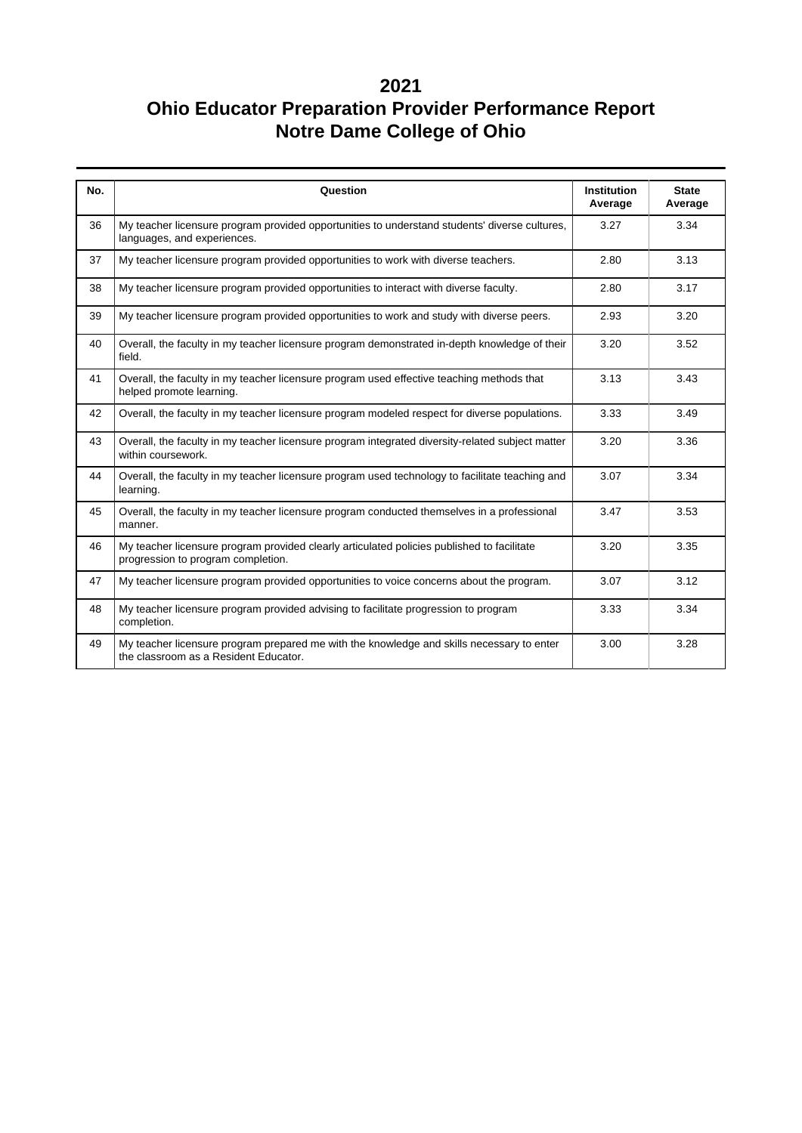| No. | Question                                                                                                                           | <b>Institution</b><br>Average | <b>State</b><br>Average |  |  |
|-----|------------------------------------------------------------------------------------------------------------------------------------|-------------------------------|-------------------------|--|--|
| 36  | My teacher licensure program provided opportunities to understand students' diverse cultures,<br>languages, and experiences.       | 3.27                          | 3.34                    |  |  |
| 37  | My teacher licensure program provided opportunities to work with diverse teachers.                                                 | 2.80                          | 3.13                    |  |  |
| 38  | My teacher licensure program provided opportunities to interact with diverse faculty.                                              | 2.80                          | 3.17                    |  |  |
| 39  | My teacher licensure program provided opportunities to work and study with diverse peers.                                          | 2.93                          | 3.20                    |  |  |
| 40  | Overall, the faculty in my teacher licensure program demonstrated in-depth knowledge of their<br>field.                            | 3.20                          | 3.52                    |  |  |
| 41  | Overall, the faculty in my teacher licensure program used effective teaching methods that<br>helped promote learning.              | 3.13                          | 3.43                    |  |  |
| 42  | Overall, the faculty in my teacher licensure program modeled respect for diverse populations.                                      | 3.33                          | 3.49                    |  |  |
| 43  | Overall, the faculty in my teacher licensure program integrated diversity-related subject matter<br>within coursework.             | 3.20                          | 3.36                    |  |  |
| 44  | Overall, the faculty in my teacher licensure program used technology to facilitate teaching and<br>learning.                       | 3.07                          | 3.34                    |  |  |
| 45  | Overall, the faculty in my teacher licensure program conducted themselves in a professional<br>manner.                             | 3.47                          | 3.53                    |  |  |
| 46  | My teacher licensure program provided clearly articulated policies published to facilitate<br>progression to program completion.   | 3.20                          | 3.35                    |  |  |
| 47  | My teacher licensure program provided opportunities to voice concerns about the program.                                           | 3.07                          | 3.12                    |  |  |
| 48  | 3.33<br>3.34<br>My teacher licensure program provided advising to facilitate progression to program<br>completion.                 |                               |                         |  |  |
| 49  | My teacher licensure program prepared me with the knowledge and skills necessary to enter<br>the classroom as a Resident Educator. | 3.00                          | 3.28                    |  |  |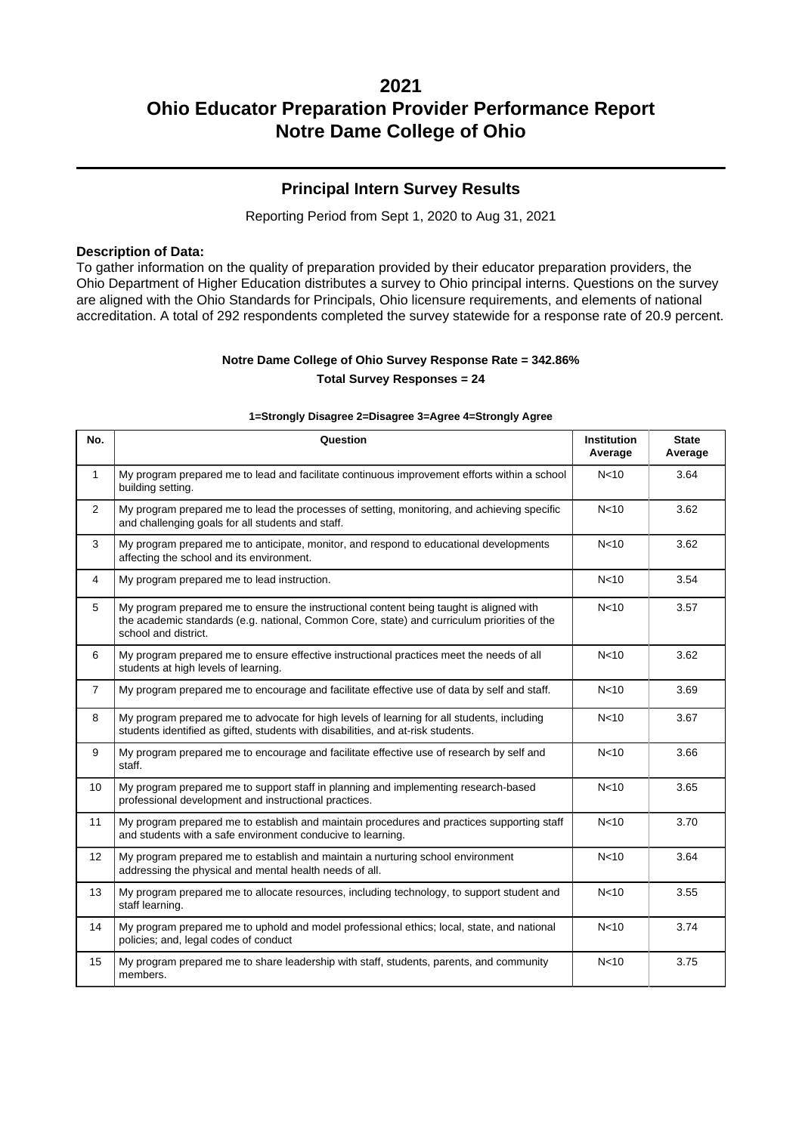### **Principal Intern Survey Results**

Reporting Period from Sept 1, 2020 to Aug 31, 2021

#### **Description of Data:**

To gather information on the quality of preparation provided by their educator preparation providers, the Ohio Department of Higher Education distributes a survey to Ohio principal interns. Questions on the survey are aligned with the Ohio Standards for Principals, Ohio licensure requirements, and elements of national accreditation. A total of 292 respondents completed the survey statewide for a response rate of 20.9 percent.

#### **Notre Dame College of Ohio Survey Response Rate = 342.86% Total Survey Responses = 24**

### **1=Strongly Disagree 2=Disagree 3=Agree 4=Strongly Agree**

| No.            | Question                                                                                                                                                                                                       | <b>Institution</b><br>Average | <b>State</b><br>Average |
|----------------|----------------------------------------------------------------------------------------------------------------------------------------------------------------------------------------------------------------|-------------------------------|-------------------------|
| $\mathbf{1}$   | My program prepared me to lead and facilitate continuous improvement efforts within a school<br>building setting.                                                                                              | N <sub>10</sub>               | 3.64                    |
| $\overline{2}$ | My program prepared me to lead the processes of setting, monitoring, and achieving specific<br>and challenging goals for all students and staff.                                                               | N <sub>10</sub>               | 3.62                    |
| 3              | My program prepared me to anticipate, monitor, and respond to educational developments<br>affecting the school and its environment.                                                                            | N <sub>10</sub>               | 3.62                    |
| 4              | My program prepared me to lead instruction.                                                                                                                                                                    | N <sub>10</sub>               | 3.54                    |
| 5              | My program prepared me to ensure the instructional content being taught is aligned with<br>the academic standards (e.g. national, Common Core, state) and curriculum priorities of the<br>school and district. | N <sub>10</sub>               | 3.57                    |
| 6              | My program prepared me to ensure effective instructional practices meet the needs of all<br>students at high levels of learning.                                                                               | N <sub>10</sub>               | 3.62                    |
| $\overline{7}$ | My program prepared me to encourage and facilitate effective use of data by self and staff.                                                                                                                    | N <sub>10</sub>               | 3.69                    |
| 8              | My program prepared me to advocate for high levels of learning for all students, including<br>students identified as gifted, students with disabilities, and at-risk students.                                 |                               | 3.67                    |
| 9              | My program prepared me to encourage and facilitate effective use of research by self and<br>staff.                                                                                                             | N <sub>10</sub>               | 3.66                    |
| 10             | My program prepared me to support staff in planning and implementing research-based<br>professional development and instructional practices.                                                                   | N <sub>10</sub>               | 3.65                    |
| 11             | My program prepared me to establish and maintain procedures and practices supporting staff<br>and students with a safe environment conducive to learning.                                                      | N <sub>10</sub>               | 3.70                    |
| 12             | My program prepared me to establish and maintain a nurturing school environment<br>addressing the physical and mental health needs of all.                                                                     | N <sub>10</sub>               | 3.64                    |
| 13             | My program prepared me to allocate resources, including technology, to support student and<br>staff learning.                                                                                                  | N <sub>10</sub>               | 3.55                    |
| 14             | My program prepared me to uphold and model professional ethics; local, state, and national<br>policies; and, legal codes of conduct                                                                            | N <sub>10</sub>               | 3.74                    |
| 15             | My program prepared me to share leadership with staff, students, parents, and community<br>members.                                                                                                            | N <sub>10</sub>               | 3.75                    |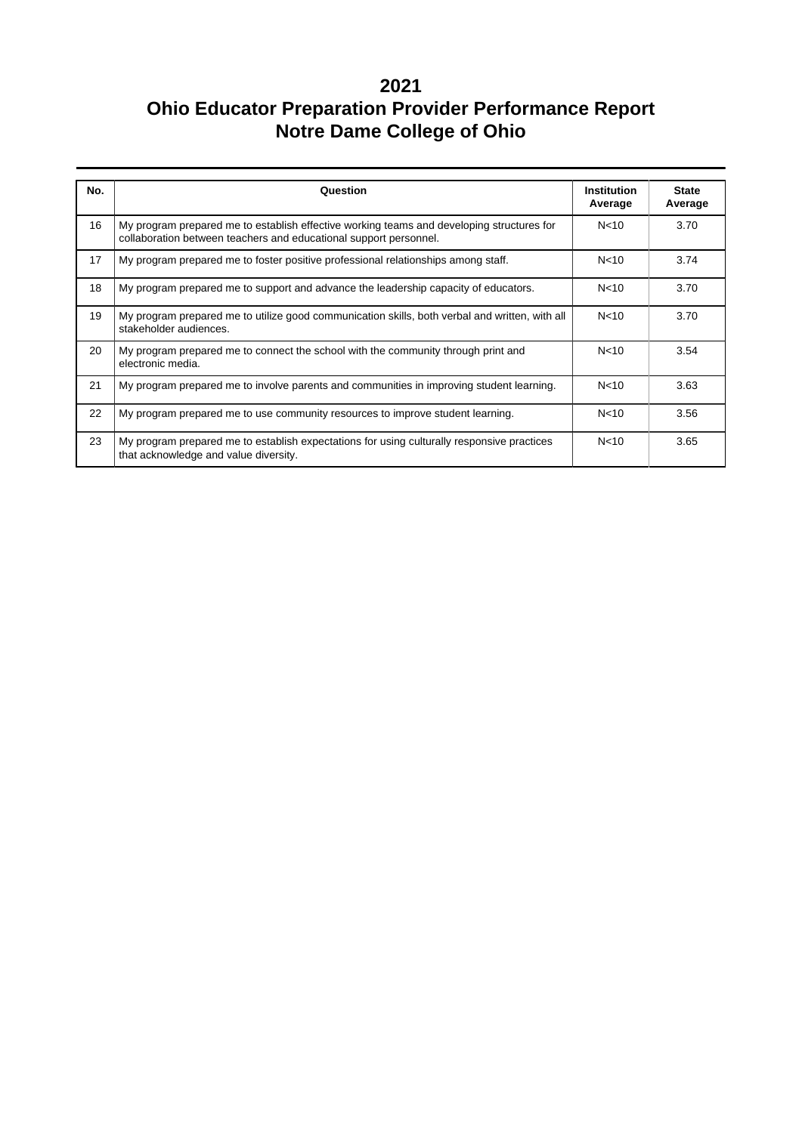| No. | Question                                                                                                                                                       | Institution<br>Average | <b>State</b><br>Average |  |  |
|-----|----------------------------------------------------------------------------------------------------------------------------------------------------------------|------------------------|-------------------------|--|--|
| 16  | My program prepared me to establish effective working teams and developing structures for<br>collaboration between teachers and educational support personnel. | N <sub>10</sub>        | 3.70                    |  |  |
| 17  | My program prepared me to foster positive professional relationships among staff.                                                                              | N <sub>10</sub>        | 3.74                    |  |  |
| 18  | My program prepared me to support and advance the leadership capacity of educators.                                                                            | N <sub>10</sub>        | 3.70                    |  |  |
| 19  | My program prepared me to utilize good communication skills, both verbal and written, with all<br>stakeholder audiences.                                       | N <sub>10</sub>        | 3.70                    |  |  |
| 20  | My program prepared me to connect the school with the community through print and<br>electronic media.                                                         | N <sub>10</sub>        | 3.54                    |  |  |
| 21  | My program prepared me to involve parents and communities in improving student learning.                                                                       | N <sub>10</sub>        | 3.63                    |  |  |
| 22  | My program prepared me to use community resources to improve student learning.                                                                                 | N <sub>10</sub>        | 3.56                    |  |  |
| 23  | N <sub>10</sub><br>My program prepared me to establish expectations for using culturally responsive practices<br>that acknowledge and value diversity.         |                        |                         |  |  |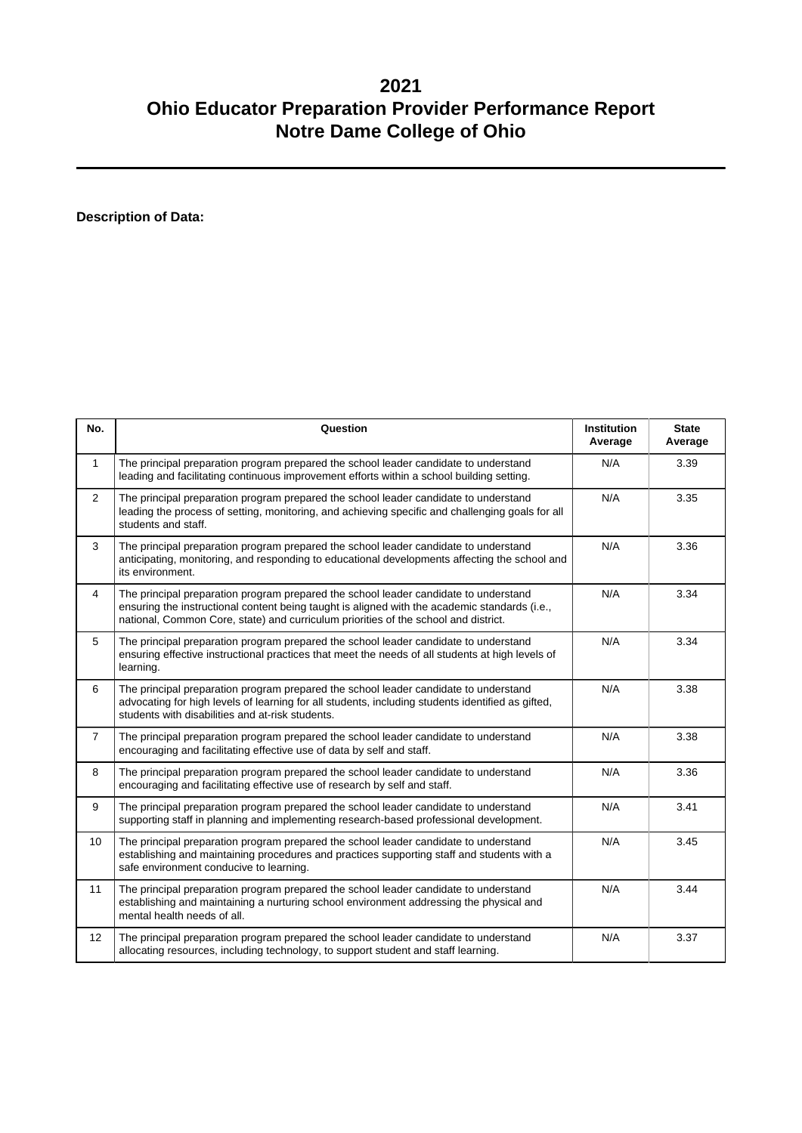**Description of Data:**

| No.            | Question                                                                                                                                                                                                                                                                     | <b>Institution</b><br>Average | <b>State</b><br>Average |
|----------------|------------------------------------------------------------------------------------------------------------------------------------------------------------------------------------------------------------------------------------------------------------------------------|-------------------------------|-------------------------|
| $\mathbf{1}$   | The principal preparation program prepared the school leader candidate to understand<br>leading and facilitating continuous improvement efforts within a school building setting.                                                                                            | N/A                           | 3.39                    |
| $\overline{2}$ | The principal preparation program prepared the school leader candidate to understand<br>leading the process of setting, monitoring, and achieving specific and challenging goals for all<br>students and staff.                                                              | N/A                           | 3.35                    |
| 3              | The principal preparation program prepared the school leader candidate to understand<br>anticipating, monitoring, and responding to educational developments affecting the school and<br>its environment.                                                                    | N/A                           | 3.36                    |
| 4              | The principal preparation program prepared the school leader candidate to understand<br>ensuring the instructional content being taught is aligned with the academic standards (i.e.,<br>national, Common Core, state) and curriculum priorities of the school and district. | N/A                           | 3.34                    |
| 5              | The principal preparation program prepared the school leader candidate to understand<br>ensuring effective instructional practices that meet the needs of all students at high levels of<br>learning.                                                                        | N/A                           | 3.34                    |
| 6              | The principal preparation program prepared the school leader candidate to understand<br>advocating for high levels of learning for all students, including students identified as gifted,<br>students with disabilities and at-risk students.                                | N/A                           | 3.38                    |
| $\overline{7}$ | The principal preparation program prepared the school leader candidate to understand<br>encouraging and facilitating effective use of data by self and staff.                                                                                                                | N/A                           | 3.38                    |
| 8              | The principal preparation program prepared the school leader candidate to understand<br>encouraging and facilitating effective use of research by self and staff.                                                                                                            | N/A                           | 3.36                    |
| 9              | The principal preparation program prepared the school leader candidate to understand<br>supporting staff in planning and implementing research-based professional development.                                                                                               | N/A                           | 3.41                    |
| 10             | The principal preparation program prepared the school leader candidate to understand<br>establishing and maintaining procedures and practices supporting staff and students with a<br>safe environment conducive to learning.                                                | N/A                           | 3.45                    |
| 11             | The principal preparation program prepared the school leader candidate to understand<br>establishing and maintaining a nurturing school environment addressing the physical and<br>mental health needs of all.                                                               | N/A                           | 3.44                    |
| 12             | The principal preparation program prepared the school leader candidate to understand<br>allocating resources, including technology, to support student and staff learning.                                                                                                   | N/A                           | 3.37                    |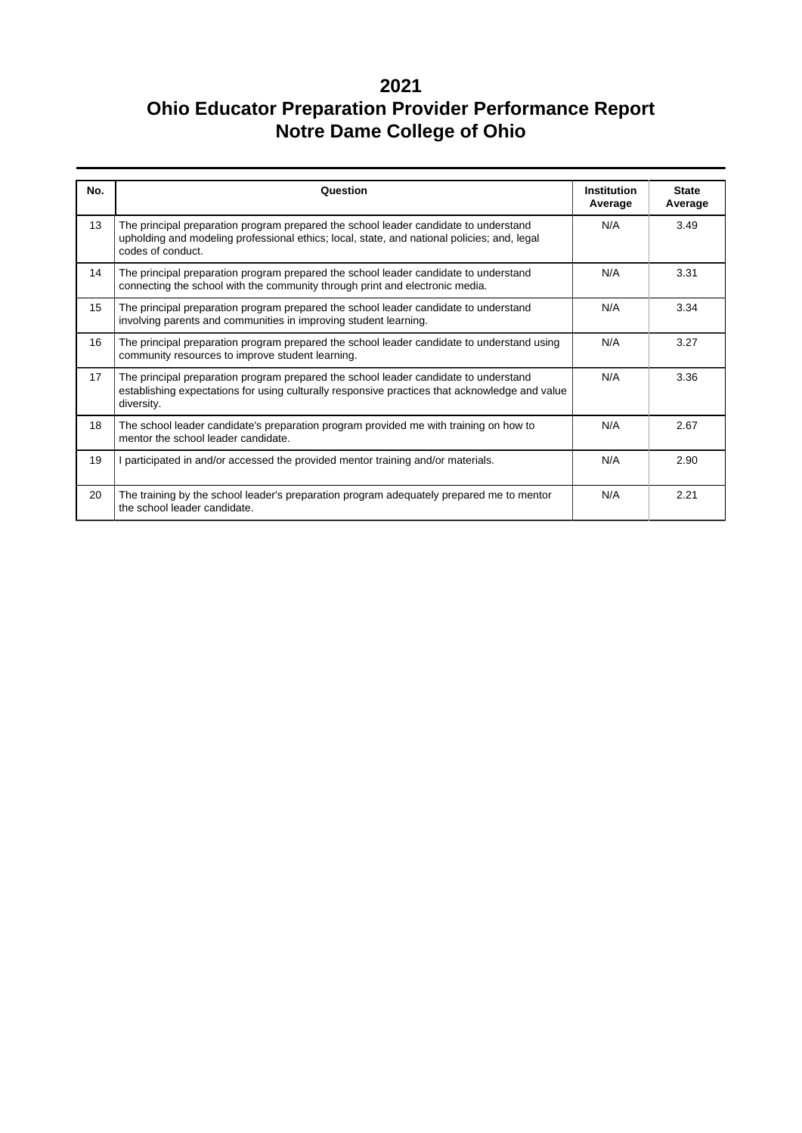| No. | Question                                                                                                                                                                                                 | <b>Institution</b><br>Average | <b>State</b><br>Average |
|-----|----------------------------------------------------------------------------------------------------------------------------------------------------------------------------------------------------------|-------------------------------|-------------------------|
| 13  | The principal preparation program prepared the school leader candidate to understand<br>upholding and modeling professional ethics; local, state, and national policies; and, legal<br>codes of conduct. | N/A                           | 3.49                    |
| 14  | The principal preparation program prepared the school leader candidate to understand<br>connecting the school with the community through print and electronic media.                                     | N/A                           | 3.31                    |
| 15  | The principal preparation program prepared the school leader candidate to understand<br>involving parents and communities in improving student learning.                                                 | N/A                           | 3.34                    |
| 16  | The principal preparation program prepared the school leader candidate to understand using<br>community resources to improve student learning.                                                           | N/A                           | 3.27                    |
| 17  | The principal preparation program prepared the school leader candidate to understand<br>establishing expectations for using culturally responsive practices that acknowledge and value<br>diversity.     | N/A                           | 3.36                    |
| 18  | The school leader candidate's preparation program provided me with training on how to<br>mentor the school leader candidate.                                                                             | N/A                           | 2.67                    |
| 19  | I participated in and/or accessed the provided mentor training and/or materials.                                                                                                                         | N/A                           | 2.90                    |
| 20  | The training by the school leader's preparation program adequately prepared me to mentor<br>the school leader candidate.                                                                                 | N/A                           | 2.21                    |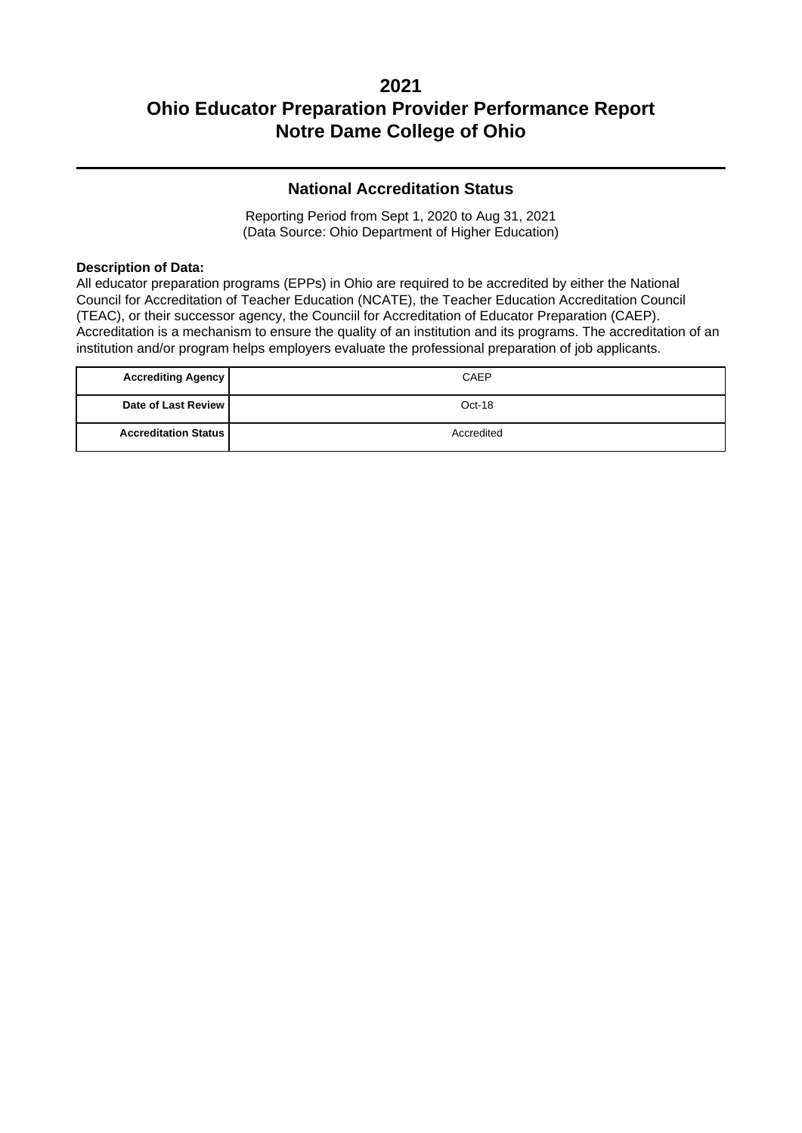### **National Accreditation Status**

Reporting Period from Sept 1, 2020 to Aug 31, 2021 (Data Source: Ohio Department of Higher Education)

#### **Description of Data:**

All educator preparation programs (EPPs) in Ohio are required to be accredited by either the National Council for Accreditation of Teacher Education (NCATE), the Teacher Education Accreditation Council (TEAC), or their successor agency, the Counciil for Accreditation of Educator Preparation (CAEP). Accreditation is a mechanism to ensure the quality of an institution and its programs. The accreditation of an institution and/or program helps employers evaluate the professional preparation of job applicants.

| <b>Accrediting Agency</b>   | CAEP       |
|-----------------------------|------------|
| Date of Last Review         | Oct-18     |
| <b>Accreditation Status</b> | Accredited |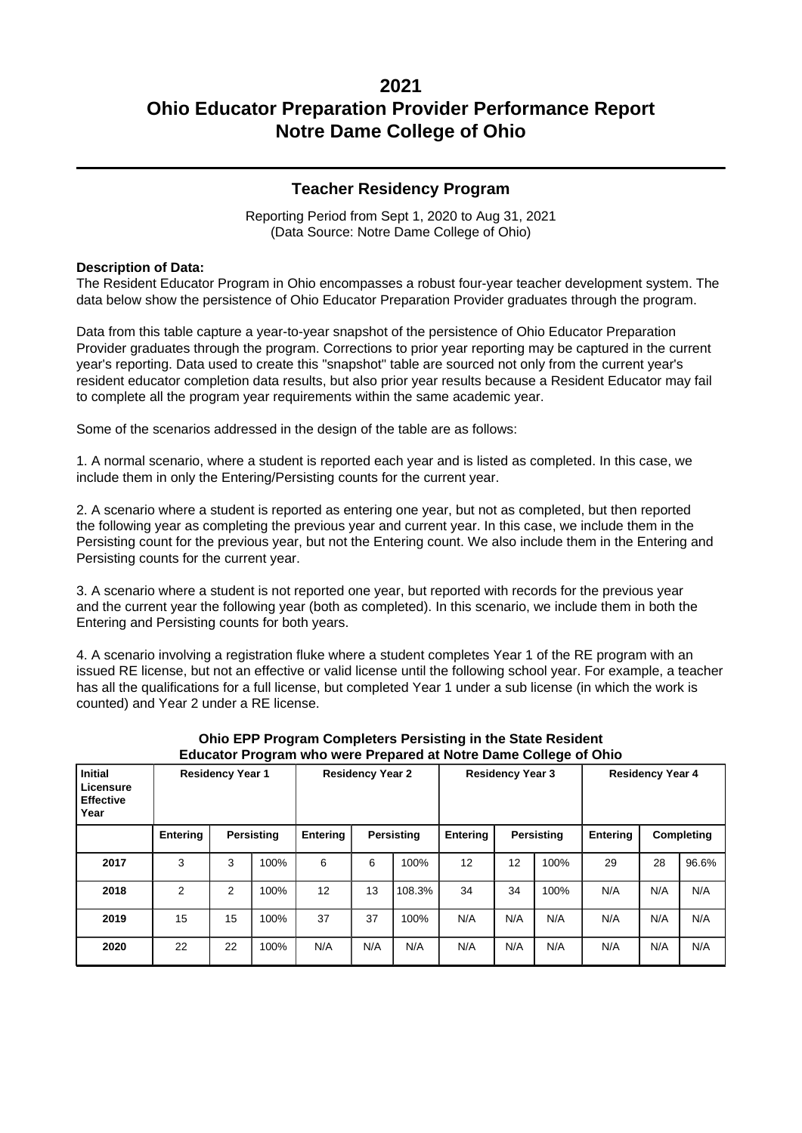### **Teacher Residency Program**

Reporting Period from Sept 1, 2020 to Aug 31, 2021 (Data Source: Notre Dame College of Ohio)

#### **Description of Data:**

The Resident Educator Program in Ohio encompasses a robust four-year teacher development system. The data below show the persistence of Ohio Educator Preparation Provider graduates through the program.

Data from this table capture a year-to-year snapshot of the persistence of Ohio Educator Preparation Provider graduates through the program. Corrections to prior year reporting may be captured in the current year's reporting. Data used to create this "snapshot" table are sourced not only from the current year's resident educator completion data results, but also prior year results because a Resident Educator may fail to complete all the program year requirements within the same academic year.

Some of the scenarios addressed in the design of the table are as follows:

1. A normal scenario, where a student is reported each year and is listed as completed. In this case, we include them in only the Entering/Persisting counts for the current year.

2. A scenario where a student is reported as entering one year, but not as completed, but then reported the following year as completing the previous year and current year. In this case, we include them in the Persisting count for the previous year, but not the Entering count. We also include them in the Entering and Persisting counts for the current year.

3. A scenario where a student is not reported one year, but reported with records for the previous year and the current year the following year (both as completed). In this scenario, we include them in both the Entering and Persisting counts for both years.

4. A scenario involving a registration fluke where a student completes Year 1 of the RE program with an issued RE license, but not an effective or valid license until the following school year. For example, a teacher has all the qualifications for a full license, but completed Year 1 under a sub license (in which the work is counted) and Year 2 under a RE license.

| <b>Initial</b><br>Licensure<br><b>Effective</b><br>Year | <b>Residency Year 1</b> |    |            |                 | <b>Residency Year 2</b> |            | <b>Residency Year 3</b><br><b>Residency Year 4</b> |     |                   |          |     |            |
|---------------------------------------------------------|-------------------------|----|------------|-----------------|-------------------------|------------|----------------------------------------------------|-----|-------------------|----------|-----|------------|
|                                                         | <b>Entering</b>         |    | Persisting | <b>Entering</b> |                         | Persisting | Entering                                           |     | <b>Persisting</b> | Entering |     | Completing |
| 2017                                                    | 3                       | 3  | 100%       | 6               | 6                       | 100%       | 12                                                 | 12  | 100%              | 29       | 28  | 96.6%      |
| 2018                                                    | $\overline{2}$          | 2  | 100%       | 12              | 13                      | 108.3%     | 34                                                 | 34  | 100%              | N/A      | N/A | N/A        |
| 2019                                                    | 15                      | 15 | 100%       | 37              | 37                      | 100%       | N/A                                                | N/A | N/A               | N/A      | N/A | N/A        |
| 2020                                                    | 22                      | 22 | 100%       | N/A             | N/A                     | N/A        | N/A                                                | N/A | N/A               | N/A      | N/A | N/A        |

#### **Ohio EPP Program Completers Persisting in the State Resident Educator Program who were Prepared at Notre Dame College of Ohio**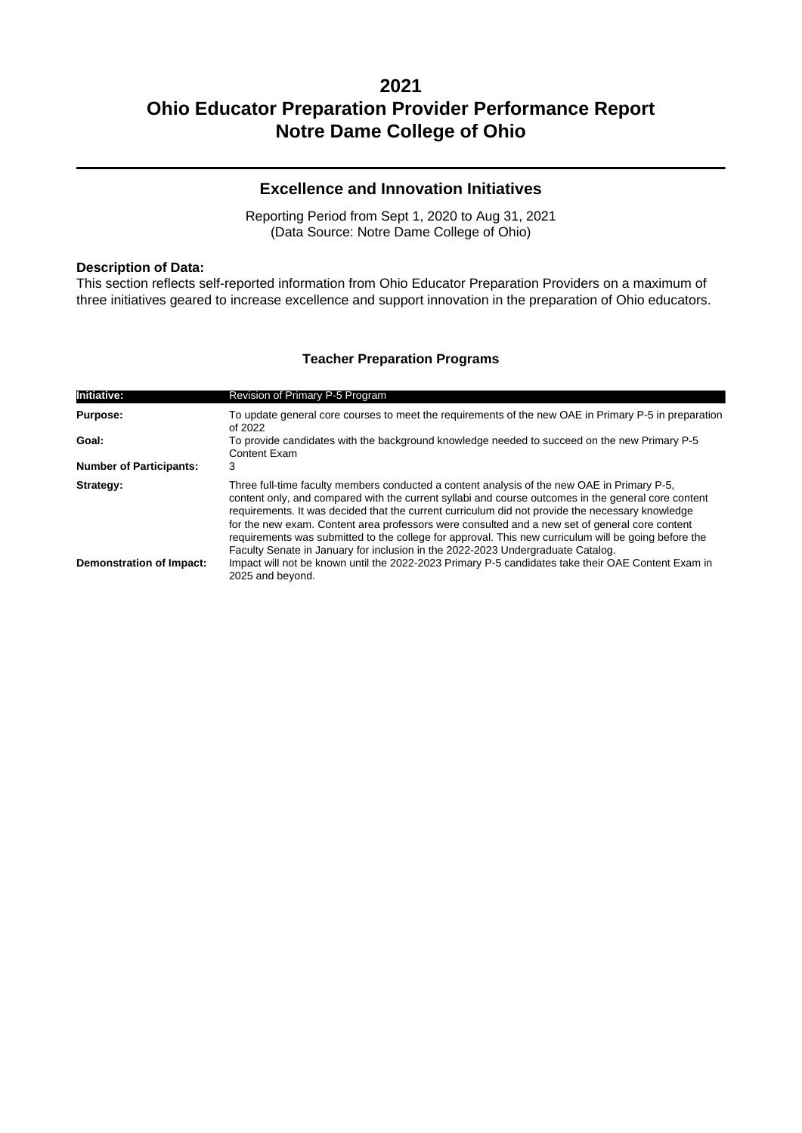### **Excellence and Innovation Initiatives**

Reporting Period from Sept 1, 2020 to Aug 31, 2021 (Data Source: Notre Dame College of Ohio)

#### **Description of Data:**

This section reflects self-reported information from Ohio Educator Preparation Providers on a maximum of three initiatives geared to increase excellence and support innovation in the preparation of Ohio educators.

#### **Teacher Preparation Programs**

| Initiative:                    | Revision of Primary P-5 Program                                                                                                                                                                                                                                                                                                                                                                                                                                                                                                                                                                     |
|--------------------------------|-----------------------------------------------------------------------------------------------------------------------------------------------------------------------------------------------------------------------------------------------------------------------------------------------------------------------------------------------------------------------------------------------------------------------------------------------------------------------------------------------------------------------------------------------------------------------------------------------------|
| Purpose:                       | To update general core courses to meet the requirements of the new OAE in Primary P-5 in preparation<br>of 2022                                                                                                                                                                                                                                                                                                                                                                                                                                                                                     |
| Goal:                          | To provide candidates with the background knowledge needed to succeed on the new Primary P-5<br>Content Exam                                                                                                                                                                                                                                                                                                                                                                                                                                                                                        |
| <b>Number of Participants:</b> | 3                                                                                                                                                                                                                                                                                                                                                                                                                                                                                                                                                                                                   |
| Strategy:                      | Three full-time faculty members conducted a content analysis of the new OAE in Primary P-5.<br>content only, and compared with the current syllabi and course outcomes in the general core content<br>requirements. It was decided that the current curriculum did not provide the necessary knowledge<br>for the new exam. Content area professors were consulted and a new set of general core content<br>requirements was submitted to the college for approval. This new curriculum will be going before the<br>Faculty Senate in January for inclusion in the 2022-2023 Undergraduate Catalog. |
| Demonstration of Impact:       | Impact will not be known until the 2022-2023 Primary P-5 candidates take their OAE Content Exam in<br>2025 and beyond.                                                                                                                                                                                                                                                                                                                                                                                                                                                                              |